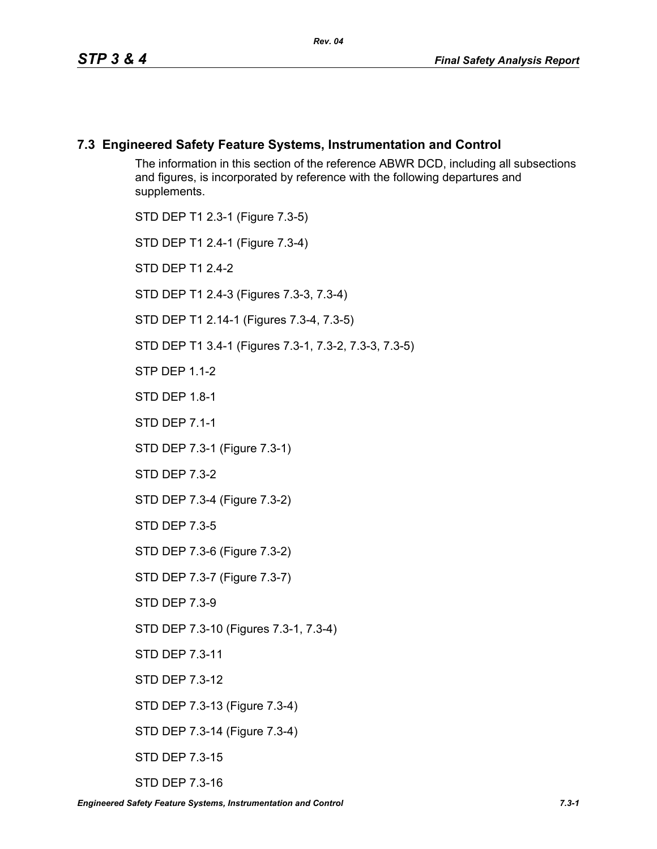# **7.3 Engineered Safety Feature Systems, Instrumentation and Control**

The information in this section of the reference ABWR DCD, including all subsections and figures, is incorporated by reference with the following departures and supplements.

STD DEP T1 2.3-1 (Figure 7.3-5)

STD DEP T1 2.4-1 (Figure 7.3-4)

STD DEP T1 2.4-2

STD DEP T1 2.4-3 (Figures 7.3-3, 7.3-4)

STD DEP T1 2.14-1 (Figures 7.3-4, 7.3-5)

STD DEP T1 3.4-1 (Figures 7.3-1, 7.3-2, 7.3-3, 7.3-5)

STP DEP 1.1-2

STD DEP 1.8-1

STD DEP 7.1-1

STD DEP 7.3-1 (Figure 7.3-1)

STD DEP 7.3-2

STD DEP 7.3-4 (Figure 7.3-2)

STD DEP 7.3-5

STD DEP 7.3-6 (Figure 7.3-2)

STD DEP 7.3-7 (Figure 7.3-7)

STD DEP 7.3-9

STD DEP 7.3-10 (Figures 7.3-1, 7.3-4)

STD DEP 7.3-11

STD DEP 7.3-12

STD DEP 7.3-13 (Figure 7.3-4)

STD DEP 7.3-14 (Figure 7.3-4)

STD DEP 7.3-15

STD DEP 7.3-16

*Engineered Safety Feature Systems, Instrumentation and Control 7.3-1*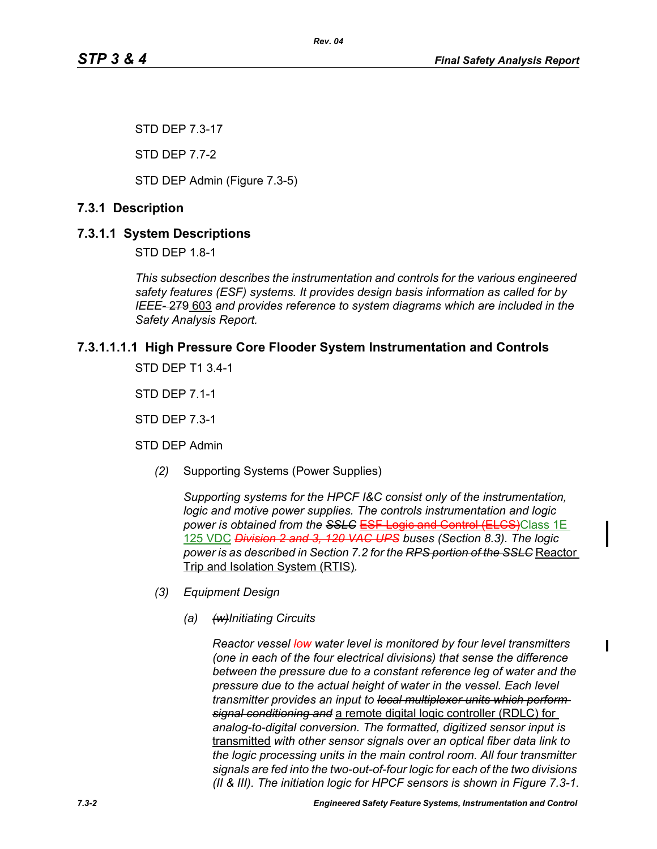STD DEP 7.3-17

STD DEP 7.7-2

STD DEP Admin (Figure 7.3-5)

# **7.3.1 Description**

# **7.3.1.1 System Descriptions**

STD DEP 1.8-1

*This subsection describes the instrumentation and controls for the various engineered safety features (ESF) systems. It provides design basis information as called for by IEEE-* 279 603 *and provides reference to system diagrams which are included in the Safety Analysis Report.*

# **7.3.1.1.1.1 High Pressure Core Flooder System Instrumentation and Controls**

*Rev. 04*

STD DEP T1 3.4-1

STD DEP 7.1-1

STD DEP 7.3-1

STD DEP Admin

*(2)* Supporting Systems (Power Supplies)

*Supporting systems for the HPCF I&C consist only of the instrumentation, logic and motive power supplies. The controls instrumentation and logic power is obtained from the SSLC* ESF Logic and Control (ELCS)Class 1E 125 VDC *Division 2 and 3, 120 VAC UPS buses (Section 8.3). The logic power is as described in Section 7.2 for the RPS portion of the SSLC* Reactor Trip and Isolation System (RTIS)*.*

- *(3) Equipment Design*
	- *(a) (w)Initiating Circuits*

*Reactor vessel low water level is monitored by four level transmitters (one in each of the four electrical divisions) that sense the difference between the pressure due to a constant reference leg of water and the pressure due to the actual height of water in the vessel. Each level transmitter provides an input to local multiplexer units which perform signal conditioning and* a remote digital logic controller (RDLC) for *analog-to-digital conversion. The formatted, digitized sensor input is*  transmitted *with other sensor signals over an optical fiber data link to the logic processing units in the main control room. All four transmitter signals are fed into the two-out-of-four logic for each of the two divisions (II & III). The initiation logic for HPCF sensors is shown in Figure 7.3-1.*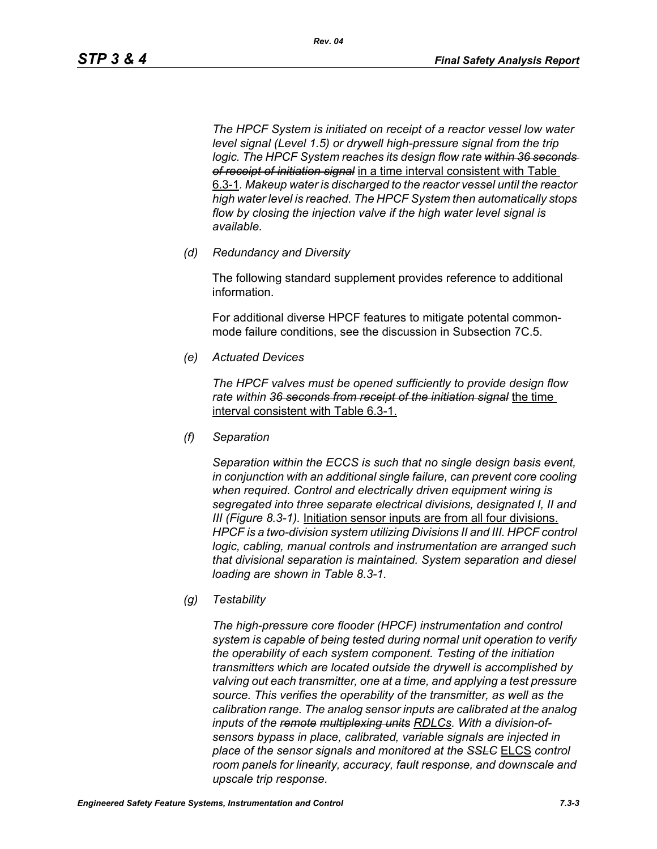*The HPCF System is initiated on receipt of a reactor vessel low water level signal (Level 1.5) or drywell high-pressure signal from the trip logic. The HPCF System reaches its design flow rate within 36 seconds of receipt of initiation signal* in a time interval consistent with Table 6.3-1*. Makeup water is discharged to the reactor vessel until the reactor high water level is reached. The HPCF System then automatically stops flow by closing the injection valve if the high water level signal is available.*

*(d) Redundancy and Diversity*

The following standard supplement provides reference to additional information.

For additional diverse HPCF features to mitigate potental commonmode failure conditions, see the discussion in Subsection 7C.5.

*(e) Actuated Devices*

*The HPCF valves must be opened sufficiently to provide design flow rate within 36 seconds from receipt of the initiation signal* the time interval consistent with Table 6.3-1.

*(f) Separation*

*Separation within the ECCS is such that no single design basis event, in conjunction with an additional single failure, can prevent core cooling when required. Control and electrically driven equipment wiring is segregated into three separate electrical divisions, designated I, II and III (Figure 8.3-1).* Initiation sensor inputs are from all four divisions. *HPCF is a two-division system utilizing Divisions II and III. HPCF control logic, cabling, manual controls and instrumentation are arranged such that divisional separation is maintained. System separation and diesel loading are shown in Table 8.3-1.*

*(g) Testability*

*The high-pressure core flooder (HPCF) instrumentation and control system is capable of being tested during normal unit operation to verify the operability of each system component. Testing of the initiation transmitters which are located outside the drywell is accomplished by valving out each transmitter, one at a time, and applying a test pressure source. This verifies the operability of the transmitter, as well as the calibration range. The analog sensor inputs are calibrated at the analog inputs of the remote multiplexing units RDLCs. With a division-ofsensors bypass in place, calibrated, variable signals are injected in place of the sensor signals and monitored at the SSLC* ELCS *control room panels for linearity, accuracy, fault response, and downscale and upscale trip response.*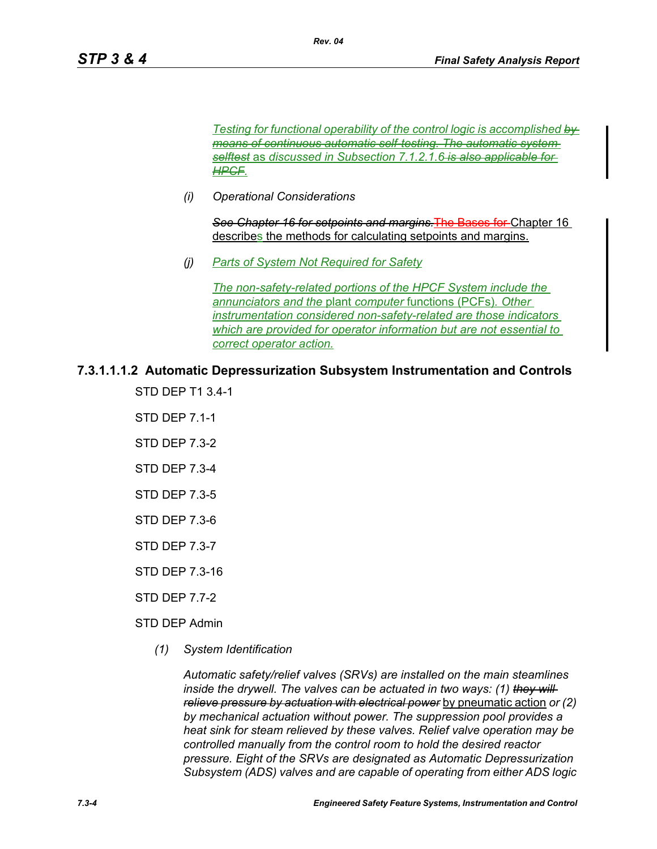*Testing for functional operability of the control logic is accomplished by means of continuous automatic self-testing. The automatic system selftest* as *discussed in Subsection 7.1.2.1.6 is also applicable for HPCF.*

*(i) Operational Considerations*

*See Chapter 16 for setpoints and margins.*The Bases for Chapter 16 describes the methods for calculating setpoints and margins.

*(j) Parts of System Not Required for Safety*

*The non-safety-related portions of the HPCF System include the annunciators and the* plant *computer* functions (PCFs)*. Other instrumentation considered non-safety-related are those indicators which are provided for operator information but are not essential to correct operator action.*

**7.3.1.1.1.2 Automatic Depressurization Subsystem Instrumentation and Controls**

*Rev. 04*

STD DEP T1 3.4-1

STD DEP 7.1-1

- STD DEP 7.3-2
- STD DEP 7.3-4
- STD DEP 7.3-5
- STD DEP 7.3-6
- STD DEP 7.3-7
- STD DEP 7.3-16
- STD DEP 7.7-2
- STD DEP Admin
	- *(1) System Identification*

*Automatic safety/relief valves (SRVs) are installed on the main steamlines inside the drywell. The valves can be actuated in two ways: (1) they will relieve pressure by actuation with electrical power* by pneumatic action *or (2) by mechanical actuation without power. The suppression pool provides a heat sink for steam relieved by these valves. Relief valve operation may be controlled manually from the control room to hold the desired reactor pressure. Eight of the SRVs are designated as Automatic Depressurization Subsystem (ADS) valves and are capable of operating from either ADS logic*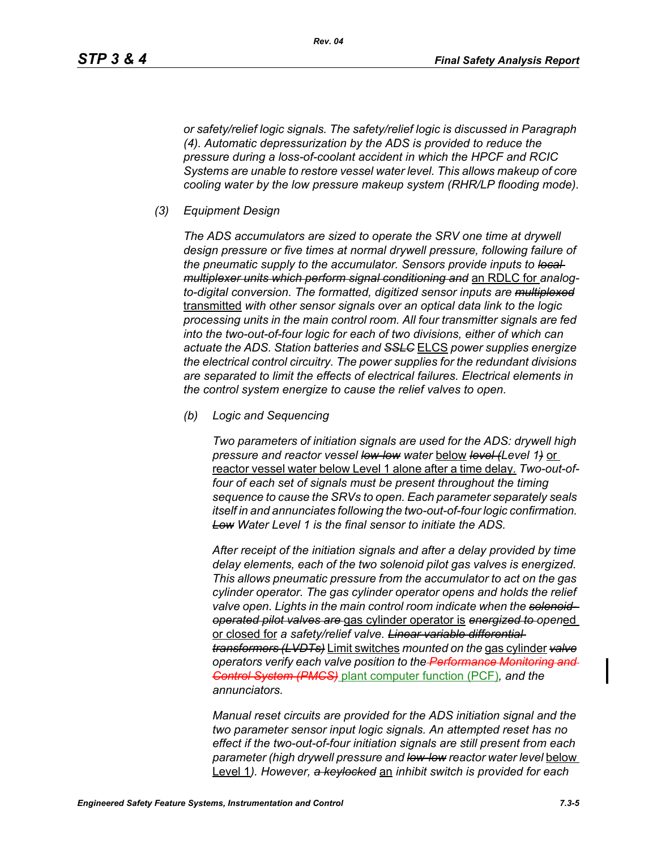*or safety/relief logic signals. The safety/relief logic is discussed in Paragraph (4). Automatic depressurization by the ADS is provided to reduce the pressure during a loss-of-coolant accident in which the HPCF and RCIC Systems are unable to restore vessel water level. This allows makeup of core cooling water by the low pressure makeup system (RHR/LP flooding mode).*

*(3) Equipment Design*

*The ADS accumulators are sized to operate the SRV one time at drywell design pressure or five times at normal drywell pressure, following failure of the pneumatic supply to the accumulator. Sensors provide inputs to local multiplexer units which perform signal conditioning and* an RDLC for *analogto-digital conversion. The formatted, digitized sensor inputs are multiplexed* transmitted *with other sensor signals over an optical data link to the logic processing units in the main control room. All four transmitter signals are fed into the two-out-of-four logic for each of two divisions, either of which can actuate the ADS. Station batteries and SSLC* ELCS *power supplies energize the electrical control circuitry. The power supplies for the redundant divisions are separated to limit the effects of electrical failures. Electrical elements in the control system energize to cause the relief valves to open.*

*(b) Logic and Sequencing*

*Two parameters of initiation signals are used for the ADS: drywell high pressure and reactor vessel low-low water* below *level (Level 1)* or reactor vessel water below Level 1 alone after a time delay*. Two-out-offour of each set of signals must be present throughout the timing sequence to cause the SRVs to open. Each parameter separately seals itself in and annunciates following the two-out-of-four logic confirmation. Low Water Level 1 is the final sensor to initiate the ADS.*

*After receipt of the initiation signals and after a delay provided by time delay elements, each of the two solenoid pilot gas valves is energized. This allows pneumatic pressure from the accumulator to act on the gas cylinder operator. The gas cylinder operator opens and holds the relief valve open. Lights in the main control room indicate when the solenoidoperated pilot valves are* gas cylinder operator is *energized to open*ed or closed for *a safety/relief valve. Linear variable differential transformers (LVDTs)* Limit switches *mounted on the* gas cylinder *valve operators verify each valve position to the Performance Monitoring and Control System (PMCS)* plant computer function (PCF)*, and the annunciators.*

*Manual reset circuits are provided for the ADS initiation signal and the two parameter sensor input logic signals. An attempted reset has no effect if the two-out-of-four initiation signals are still present from each parameter (high drywell pressure and low-low reactor water level* below Level 1*). However, a keylocked* an *inhibit switch is provided for each*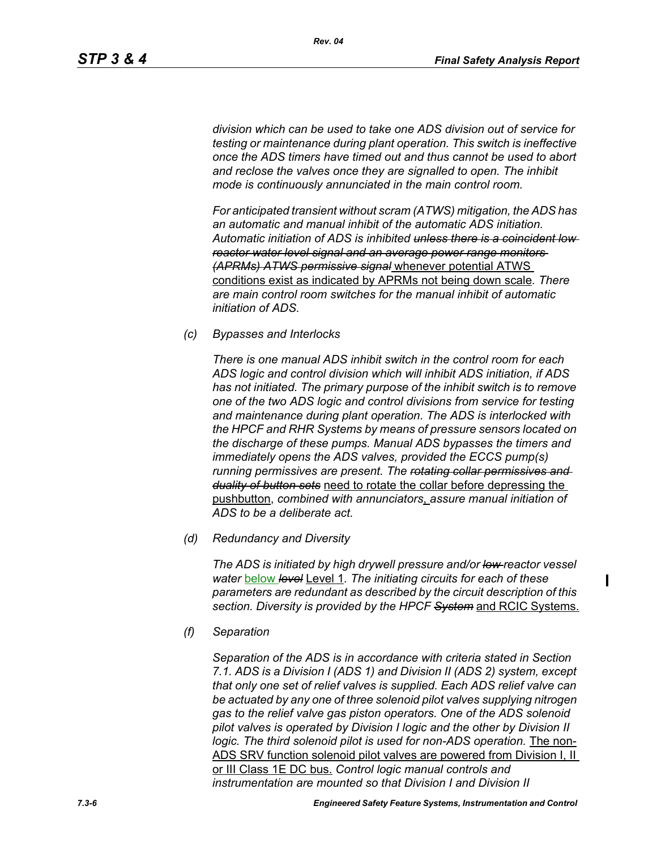*division which can be used to take one ADS division out of service for testing or maintenance during plant operation. This switch is ineffective once the ADS timers have timed out and thus cannot be used to abort and reclose the valves once they are signalled to open. The inhibit mode is continuously annunciated in the main control room.*

*For anticipated transient without scram (ATWS) mitigation, the ADS has an automatic and manual inhibit of the automatic ADS initiation. Automatic initiation of ADS is inhibited unless there is a coincident low reactor water level signal and an average power range monitors (APRMs) ATWS permissive signal* whenever potential ATWS conditions exist as indicated by APRMs not being down scale*. There are main control room switches for the manual inhibit of automatic initiation of ADS.*

*(c) Bypasses and Interlocks*

*There is one manual ADS inhibit switch in the control room for each ADS logic and control division which will inhibit ADS initiation, if ADS has not initiated. The primary purpose of the inhibit switch is to remove one of the two ADS logic and control divisions from service for testing and maintenance during plant operation. The ADS is interlocked with the HPCF and RHR Systems by means of pressure sensors located on the discharge of these pumps. Manual ADS bypasses the timers and immediately opens the ADS valves, provided the ECCS pump(s) running permissives are present. The rotating collar permissives and duality of button sets* need to rotate the collar before depressing the pushbutton, *combined with annunciators*, *assure manual initiation of ADS to be a deliberate act.*

*(d) Redundancy and Diversity*

*The ADS is initiated by high drywell pressure and/or low reactor vessel water* below *level* Level 1*. The initiating circuits for each of these parameters are redundant as described by the circuit description of this section. Diversity is provided by the HPCF System* and RCIC Systems.

*(f) Separation*

*Separation of the ADS is in accordance with criteria stated in Section 7.1. ADS is a Division I (ADS 1) and Division II (ADS 2) system, except that only one set of relief valves is supplied. Each ADS relief valve can be actuated by any one of three solenoid pilot valves supplying nitrogen gas to the relief valve gas piston operators. One of the ADS solenoid pilot valves is operated by Division I logic and the other by Division II logic. The third solenoid pilot is used for non-ADS operation.* The non-ADS SRV function solenoid pilot valves are powered from Division I, II or III Class 1E DC bus. *Control logic manual controls and instrumentation are mounted so that Division I and Division II*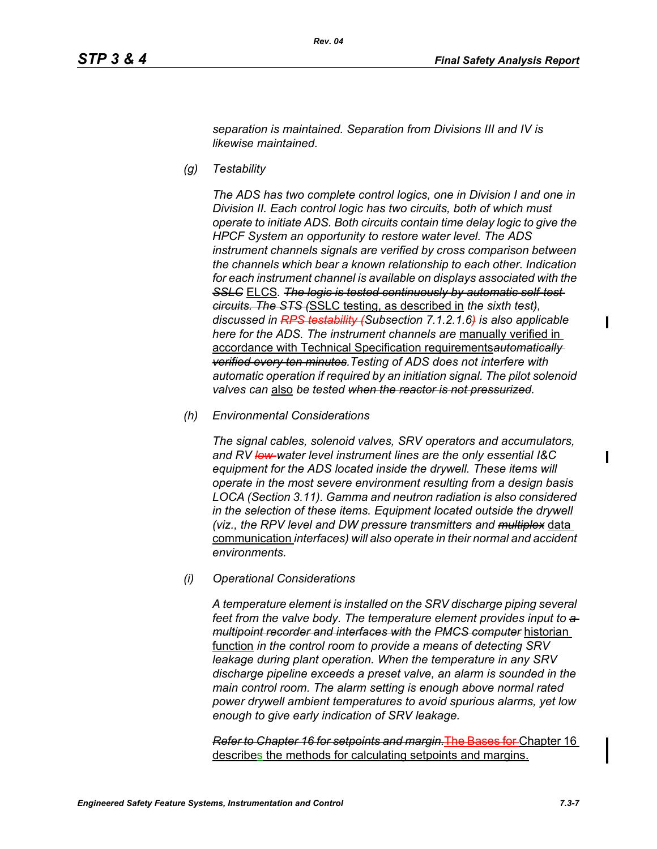*separation is maintained. Separation from Divisions III and IV is likewise maintained.*

*(g) Testability*

*The ADS has two complete control logics, one in Division I and one in Division II. Each control logic has two circuits, both of which must operate to initiate ADS. Both circuits contain time delay logic to give the HPCF System an opportunity to restore water level. The ADS instrument channels signals are verified by cross comparison between the channels which bear a known relationship to each other. Indication for each instrument channel is available on displays associated with the*  **SSLC** ELCS. The logic is tested continuously by automatic self-test*circuits. The STS (*SSLC testing, as described in *the sixth test), discussed in RPS testability (Subsection 7.1.2.1.6) is also applicable here for the ADS. The instrument channels are* manually verified in accordance with Technical Specification requirements*automatically verified every ten minutes.Testing of ADS does not interfere with automatic operation if required by an initiation signal. The pilot solenoid valves can* also *be tested when the reactor is not pressurized.*

*(h) Environmental Considerations*

*The signal cables, solenoid valves, SRV operators and accumulators, and RV low-water level instrument lines are the only essential I&C equipment for the ADS located inside the drywell. These items will operate in the most severe environment resulting from a design basis LOCA (Section 3.11). Gamma and neutron radiation is also considered in the selection of these items. Equipment located outside the drywell (viz., the RPV level and DW pressure transmitters and multiplex* data communication *interfaces) will also operate in their normal and accident environments.*

*(i) Operational Considerations*

*A temperature element is installed on the SRV discharge piping several*  feet from the valve body. The temperature element provides input to  $a$ *multipoint recorder and interfaces with the PMCS computer* historian function *in the control room to provide a means of detecting SRV leakage during plant operation. When the temperature in any SRV discharge pipeline exceeds a preset valve, an alarm is sounded in the main control room. The alarm setting is enough above normal rated power drywell ambient temperatures to avoid spurious alarms, yet low enough to give early indication of SRV leakage.*

*Refer to Chapter 16 for setpoints and margin.*The Bases for Chapter 16 describes the methods for calculating setpoints and margins.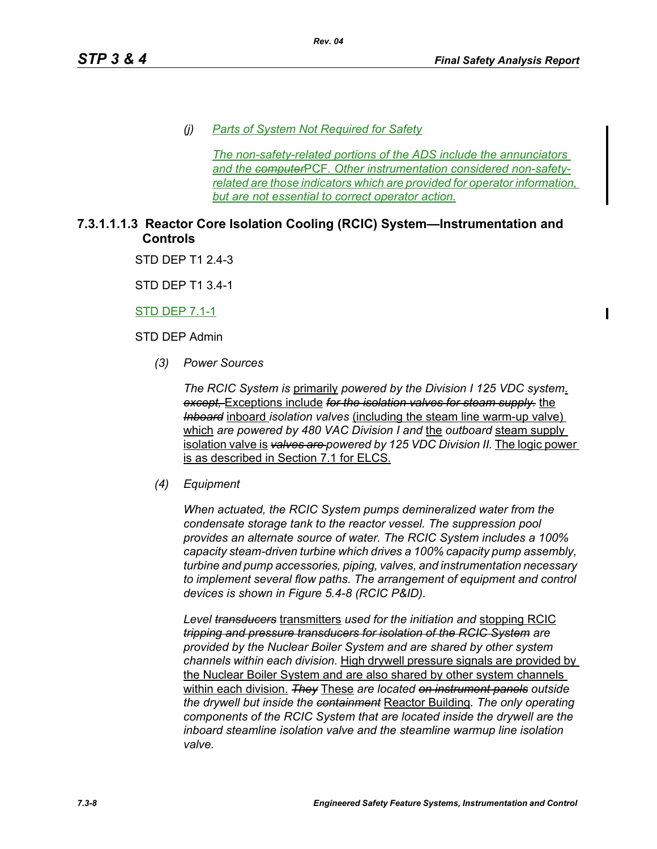*(j) Parts of System Not Required for Safety*

*Rev. 04*

*The non-safety-related portions of the ADS include the annunciators and the computer*PCF*. Other instrumentation considered non-safetyrelated are those indicators which are provided for operator information, but are not essential to correct operator action.*

# **7.3.1.1.1.3 Reactor Core Isolation Cooling (RCIC) System—Instrumentation and Controls**

STD DFP T1 2 4-3

STD DEP T1 3.4-1

STD DEP 7.1-1

STD DEP Admin

*(3) Power Sources*

*The RCIC System is* primarily *powered by the Division I 125 VDC system*. *except,* Exceptions include *for the isolation valves for steam supply.* the *Inboard* inboard *isolation valves* (including the steam line warm-up valve) which *are powered by 480 VAC Division I and* the *outboard* steam supply isolation valve is *valves are powered by 125 VDC Division II.* The logic power is as described in Section 7.1 for ELCS.

*(4) Equipment*

*When actuated, the RCIC System pumps demineralized water from the condensate storage tank to the reactor vessel. The suppression pool provides an alternate source of water. The RCIC System includes a 100% capacity steam-driven turbine which drives a 100% capacity pump assembly, turbine and pump accessories, piping, valves, and instrumentation necessary to implement several flow paths. The arrangement of equipment and control devices is shown in Figure 5.4-8 (RCIC P&ID).*

*Level transducers* transmitters *used for the initiation and* stopping RCIC *tripping and pressure transducers for isolation of the RCIC System are provided by the Nuclear Boiler System and are shared by other system channels within each division.* High drywell pressure signals are provided by the Nuclear Boiler System and are also shared by other system channels within each division. *They* These *are located on instrument panels outside the drywell but inside the containment* Reactor Building*. The only operating components of the RCIC System that are located inside the drywell are the inboard steamline isolation valve and the steamline warmup line isolation valve.*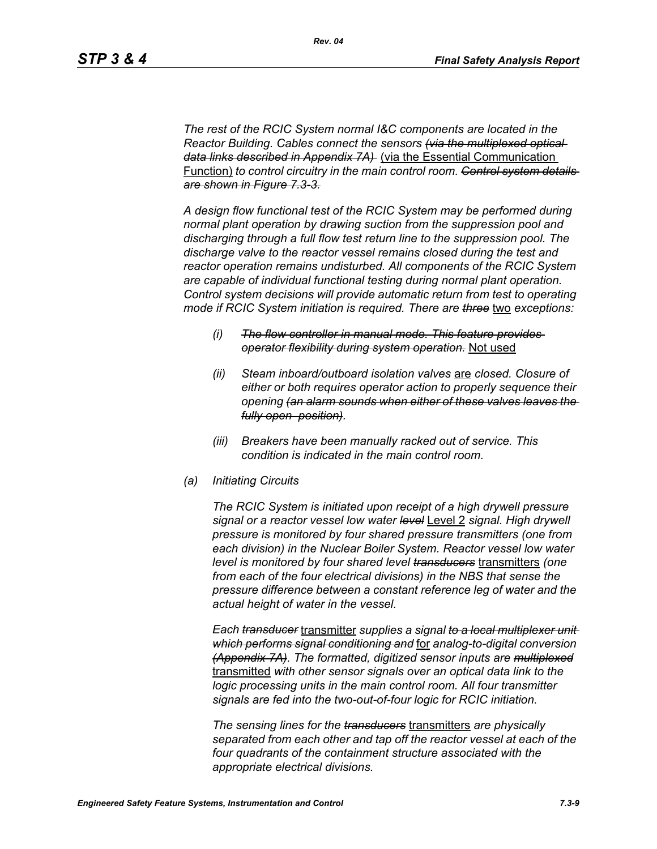*The rest of the RCIC System normal I&C components are located in the Reactor Building. Cables connect the sensors (via the multiplexed optical data links described in Appendix 7A)* (via the Essential Communication Function) *to control circuitry in the main control room. Control system details are shown in Figure 7.3-3.*

*A design flow functional test of the RCIC System may be performed during normal plant operation by drawing suction from the suppression pool and discharging through a full flow test return line to the suppression pool. The discharge valve to the reactor vessel remains closed during the test and reactor operation remains undisturbed. All components of the RCIC System are capable of individual functional testing during normal plant operation. Control system decisions will provide automatic return from test to operating mode if RCIC System initiation is required. There are three* two *exceptions:*

- *(i) The flow controller in manual mode. This feature provides operator flexibility during system operation.* Not used
- *(ii) Steam inboard/outboard isolation valves* are *closed. Closure of either or both requires operator action to properly sequence their opening (an alarm sounds when either of these valves leaves the fully open position).*
- *(iii) Breakers have been manually racked out of service. This condition is indicated in the main control room.*
- *(a) Initiating Circuits*

*The RCIC System is initiated upon receipt of a high drywell pressure signal or a reactor vessel low water level* Level 2 *signal. High drywell pressure is monitored by four shared pressure transmitters (one from each division) in the Nuclear Boiler System. Reactor vessel low water level is monitored by four shared level transducers* transmitters *(one from each of the four electrical divisions) in the NBS that sense the pressure difference between a constant reference leg of water and the actual height of water in the vessel.*

*Each transducer* transmitter *supplies a signal to a local multiplexer unit which performs signal conditioning and* for *analog-to-digital conversion (Appendix 7A). The formatted, digitized sensor inputs are multiplexed* transmitted *with other sensor signals over an optical data link to the logic processing units in the main control room. All four transmitter signals are fed into the two-out-of-four logic for RCIC initiation.*

*The sensing lines for the transducers* transmitters *are physically separated from each other and tap off the reactor vessel at each of the four quadrants of the containment structure associated with the appropriate electrical divisions.*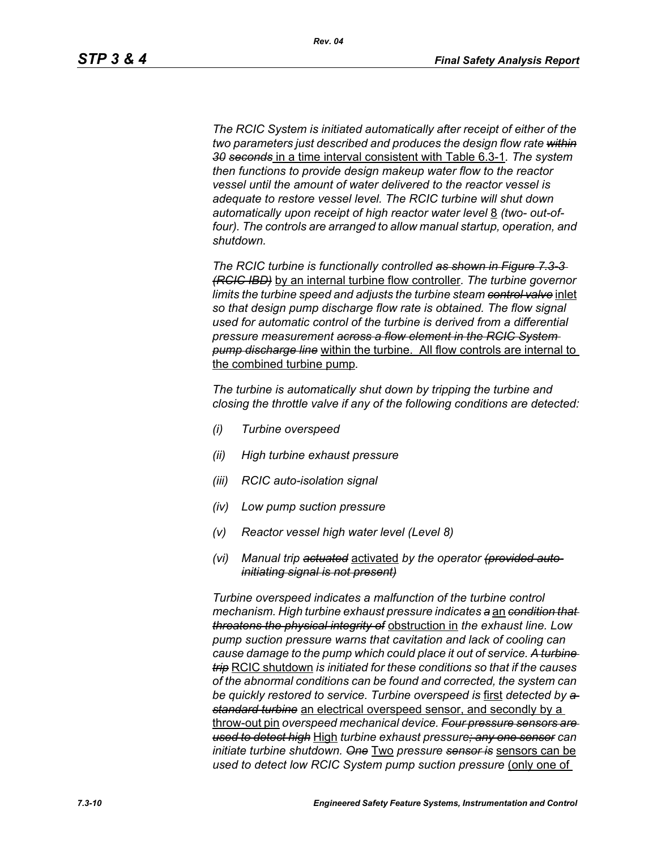*The RCIC System is initiated automatically after receipt of either of the two parameters just described and produces the design flow rate within 30 seconds* in a time interval consistent with Table 6.3-1*. The system then functions to provide design makeup water flow to the reactor vessel until the amount of water delivered to the reactor vessel is adequate to restore vessel level. The RCIC turbine will shut down*  automatically upon receipt of high reactor water level 8 *(two- out-of*four). The controls are arranged to allow manual startup, operation, and *shutdown.*

*The RCIC turbine is functionally controlled as shown in Figure 7.3-3 (RCIC IBD)* by an internal turbine flow controller*. The turbine governor limits the turbine speed and adjusts the turbine steam control valve* inlet *so that design pump discharge flow rate is obtained. The flow signal used for automatic control of the turbine is derived from a differential pressure measurement across a flow element in the RCIC System pump discharge line* within the turbine. All flow controls are internal to the combined turbine pump*.*

*The turbine is automatically shut down by tripping the turbine and closing the throttle valve if any of the following conditions are detected:*

- *(i) Turbine overspeed*
- *(ii) High turbine exhaust pressure*
- *(iii) RCIC auto-isolation signal*
- *(iv) Low pump suction pressure*
- *(v) Reactor vessel high water level (Level 8)*
- *(vi) Manual trip actuated* activated *by the operator (provided autoinitiating signal is not present)*

*Turbine overspeed indicates a malfunction of the turbine control mechanism. High turbine exhaust pressure indicates a* an *condition that threatens the physical integrity of* obstruction in *the exhaust line. Low pump suction pressure warns that cavitation and lack of cooling can cause damage to the pump which could place it out of service. A turbine trip* RCIC shutdown *is initiated for these conditions so that if the causes of the abnormal conditions can be found and corrected, the system can be quickly restored to service. Turbine overspeed is* first *detected by a standard turbine* an electrical overspeed sensor, and secondly by a throw-out pin *overspeed mechanical device. Four pressure sensors are used to detect high* High *turbine exhaust pressure; any one sensor can initiate turbine shutdown. One* Two *pressure sensor is* sensors can be *used to detect low RCIC System pump suction pressure (only one of*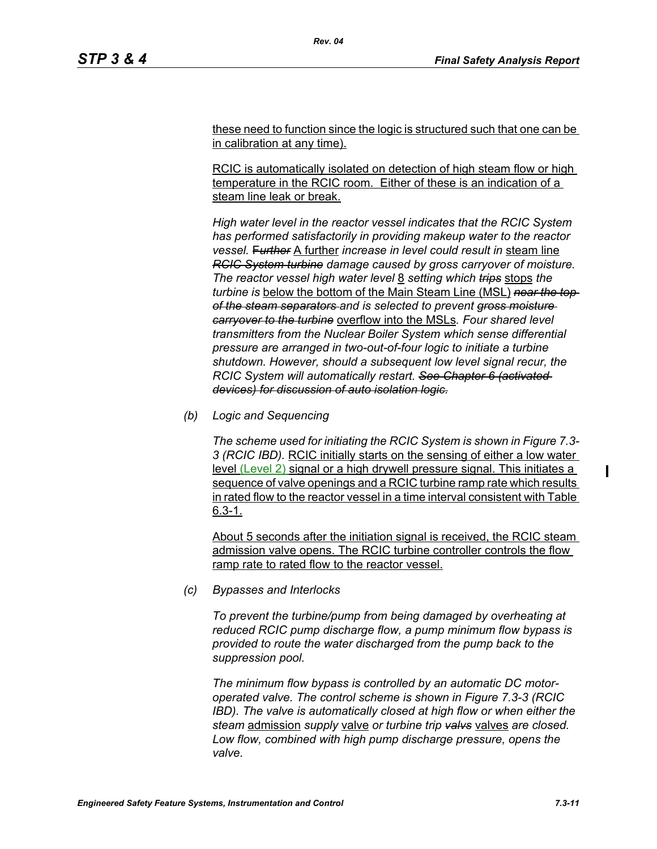these need to function since the logic is structured such that one can be in calibration at any time).

RCIC is automatically isolated on detection of high steam flow or high temperature in the RCIC room. Either of these is an indication of a steam line leak or break.

*High water level in the reactor vessel indicates that the RCIC System has performed satisfactorily in providing makeup water to the reactor vessel.* F*urther* A further *increase in level could result in* steam line *RCIC System turbine damage caused by gross carryover of moisture. The reactor vessel high water level* 8 *setting which trips* stops *the turbine is* below the bottom of the Main Steam Line (MSL) *near the top of the steam separators and is selected to prevent gross moisture carryover to the turbine* overflow into the MSLs*. Four shared level transmitters from the Nuclear Boiler System which sense differential pressure are arranged in two-out-of-four logic to initiate a turbine shutdown. However, should a subsequent low level signal recur, the RCIC System will automatically restart. See Chapter 6 (activated devices) for discussion of auto isolation logic.*

*(b) Logic and Sequencing*

*The scheme used for initiating the RCIC System is shown in Figure 7.3- 3 (RCIC IBD).* RCIC initially starts on the sensing of either a low water level (Level 2) signal or a high drywell pressure signal. This initiates a sequence of valve openings and a RCIC turbine ramp rate which results in rated flow to the reactor vessel in a time interval consistent with Table 6.3-1.

About 5 seconds after the initiation signal is received, the RCIC steam admission valve opens. The RCIC turbine controller controls the flow ramp rate to rated flow to the reactor vessel.

*(c) Bypasses and Interlocks*

*To prevent the turbine/pump from being damaged by overheating at reduced RCIC pump discharge flow, a pump minimum flow bypass is provided to route the water discharged from the pump back to the suppression pool.*

*The minimum flow bypass is controlled by an automatic DC motoroperated valve. The control scheme is shown in Figure 7.3-3 (RCIC IBD). The valve is automatically closed at high flow or when either the steam* admission *supply* valve *or turbine trip valvs* valves *are closed. Low flow, combined with high pump discharge pressure, opens the valve.*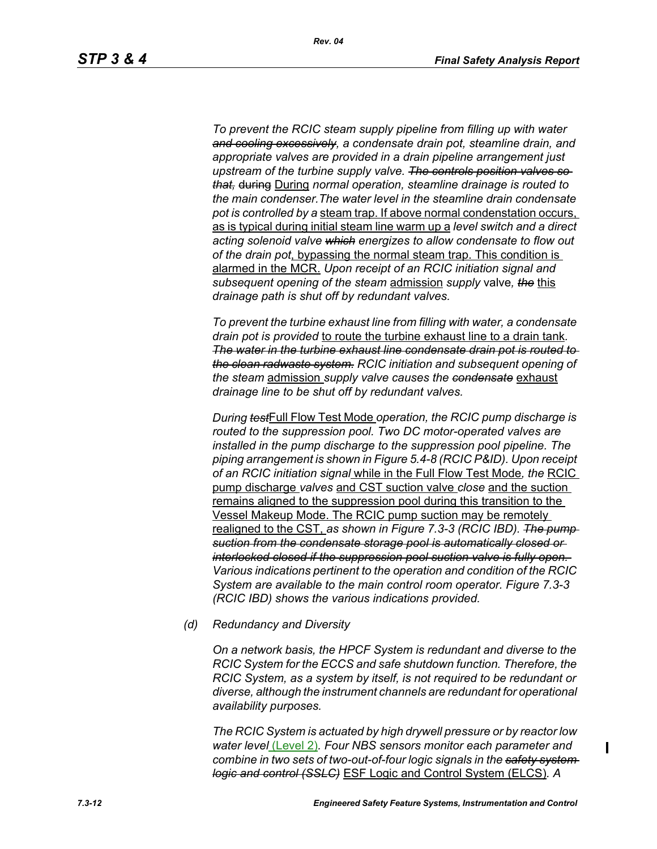*To prevent the RCIC steam supply pipeline from filling up with water and cooling excessively, a condensate drain pot, steamline drain, and appropriate valves are provided in a drain pipeline arrangement just upstream of the turbine supply valve. The controls position valves so that,* during During *normal operation, steamline drainage is routed to the main condenser.The water level in the steamline drain condensate pot is controlled by a* steam trap. If above normal condenstation occurs, as is typical during initial steam line warm up a *level switch and a direct acting solenoid valve which energizes to allow condensate to flow out of the drain pot*, bypassing the normal steam trap. This condition is alarmed in the MCR. *Upon receipt of an RCIC initiation signal and subsequent opening of the steam* admission *supply* valve*, the* this *drainage path is shut off by redundant valves.*

*To prevent the turbine exhaust line from filling with water, a condensate drain pot is provided* to route the turbine exhaust line to a drain tank*. The water in the turbine exhaust line condensate drain pot is routed to the clean radwaste system. RCIC initiation and subsequent opening of the steam* admission *supply valve causes the condensate* exhaust *drainage line to be shut off by redundant valves.*

*During test*Full Flow Test Mode *operation, the RCIC pump discharge is routed to the suppression pool. Two DC motor-operated valves are installed in the pump discharge to the suppression pool pipeline. The piping arrangement is shown in Figure 5.4-8 (RCIC P&ID). Upon receipt of an RCIC initiation signal* while in the Full Flow Test Mode*, the* RCIC pump discharge *valves* and CST suction valve *close* and the suction remains aligned to the suppression pool during this transition to the Vessel Makeup Mode. The RCIC pump suction may be remotely realigned to the CST, *as shown in Figure 7.3-3 (RCIC IBD). The pump suction from the condensate storage pool is automatically closed or interlocked closed if the suppression pool suction valve is fully open. Various indications pertinent to the operation and condition of the RCIC System are available to the main control room operator. Figure 7.3-3 (RCIC IBD) shows the various indications provided.*

*(d) Redundancy and Diversity*

*On a network basis, the HPCF System is redundant and diverse to the RCIC System for the ECCS and safe shutdown function. Therefore, the RCIC System, as a system by itself, is not required to be redundant or diverse, although the instrument channels are redundant for operational availability purposes.*

*The RCIC System is actuated by high drywell pressure or by reactor low water level* (Level 2)*. Four NBS sensors monitor each parameter and combine in two sets of two-out-of-four logic signals in the safety system logic and control (SSLC)* ESF Logic and Control System (ELCS)*. A* 

ı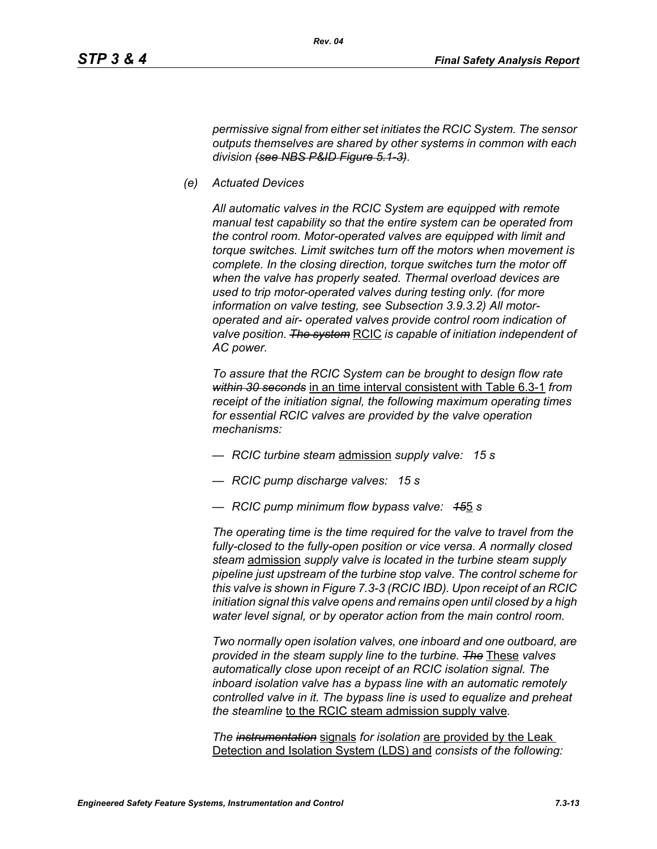*permissive signal from either set initiates the RCIC System. The sensor outputs themselves are shared by other systems in common with each division (see NBS P&ID Figure 5.1-3).*

*(e) Actuated Devices*

*All automatic valves in the RCIC System are equipped with remote manual test capability so that the entire system can be operated from the control room. Motor-operated valves are equipped with limit and torque switches. Limit switches turn off the motors when movement is complete. In the closing direction, torque switches turn the motor off when the valve has properly seated. Thermal overload devices are used to trip motor-operated valves during testing only. (for more information on valve testing, see Subsection 3.9.3.2) All motoroperated and air- operated valves provide control room indication of valve position. The system* RCIC *is capable of initiation independent of AC power.*

*To assure that the RCIC System can be brought to design flow rate within 30 seconds* in an time interval consistent with Table 6.3-1 *from receipt of the initiation signal, the following maximum operating times for essential RCIC valves are provided by the valve operation mechanisms:*

- *RCIC turbine steam* admission *supply valve: 15 s*
- *RCIC pump discharge valves: 15 s*
- *RCIC pump minimum flow bypass valve: 15*5 *s*

*The operating time is the time required for the valve to travel from the fully-closed to the fully-open position or vice versa. A normally closed steam* admission *supply valve is located in the turbine steam supply pipeline just upstream of the turbine stop valve. The control scheme for this valve is shown in Figure 7.3-3 (RCIC IBD). Upon receipt of an RCIC initiation signal this valve opens and remains open until closed by a high water level signal, or by operator action from the main control room.*

*Two normally open isolation valves, one inboard and one outboard, are provided in the steam supply line to the turbine. The* These *valves automatically close upon receipt of an RCIC isolation signal. The inboard isolation valve has a bypass line with an automatic remotely controlled valve in it. The bypass line is used to equalize and preheat the steamline* to the RCIC steam admission supply valve*.*

*The instrumentation* signals *for isolation* are provided by the Leak Detection and Isolation System (LDS) and *consists of the following:*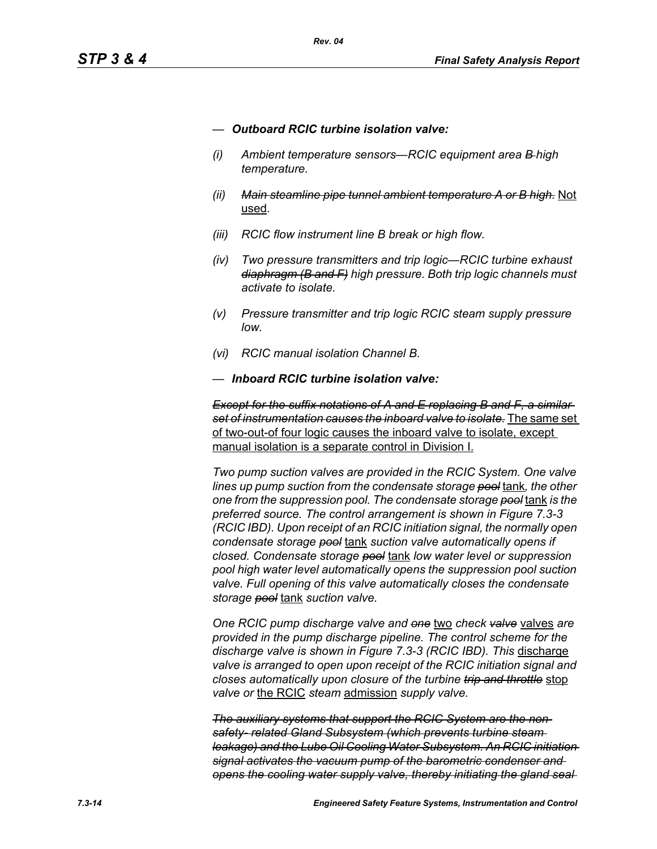- *— Outboard RCIC turbine isolation valve:*
- *(i) Ambient temperature sensors—RCIC equipment area B high temperature.*
- *(ii) Main steamline pipe tunnel ambient temperature A or B high.* Not used*.*
- *(iii) RCIC flow instrument line B break or high flow.*
- *(iv) Two pressure transmitters and trip logic—RCIC turbine exhaust diaphragm (B and F) high pressure. Both trip logic channels must activate to isolate.*
- *(v) Pressure transmitter and trip logic RCIC steam supply pressure low.*
- *(vi) RCIC manual isolation Channel B.*
- *— Inboard RCIC turbine isolation valve:*

*Except for the suffix notations of A and E replacing B and F, a similar set of instrumentation causes the inboard valve to isolate.* The same set of two-out-of four logic causes the inboard valve to isolate, except manual isolation is a separate control in Division I.

*Two pump suction valves are provided in the RCIC System. One valve lines up pump suction from the condensate storage pool* tank*, the other one from the suppression pool. The condensate storage pool* tank *is the preferred source. The control arrangement is shown in Figure 7.3-3 (RCIC IBD). Upon receipt of an RCIC initiation signal, the normally open condensate storage pool* tank *suction valve automatically opens if closed. Condensate storage pool* tank *low water level or suppression pool high water level automatically opens the suppression pool suction valve. Full opening of this valve automatically closes the condensate storage pool* tank *suction valve.*

*One RCIC pump discharge valve and one* two *check valve* valves *are provided in the pump discharge pipeline. The control scheme for the discharge valve is shown in Figure 7.3-3 (RCIC IBD). This* discharge *valve is arranged to open upon receipt of the RCIC initiation signal and closes automatically upon closure of the turbine trip and throttle* stop *valve or* the RCIC *steam* admission *supply valve.*

*The auxiliary systems that support the RCIC System are the nonsafety- related Gland Subsystem (which prevents turbine steam leakage) and the Lube Oil Cooling Water Subsystem. An RCIC initiation signal activates the vacuum pump of the barometric condenser and opens the cooling water supply valve, thereby initiating the gland seal*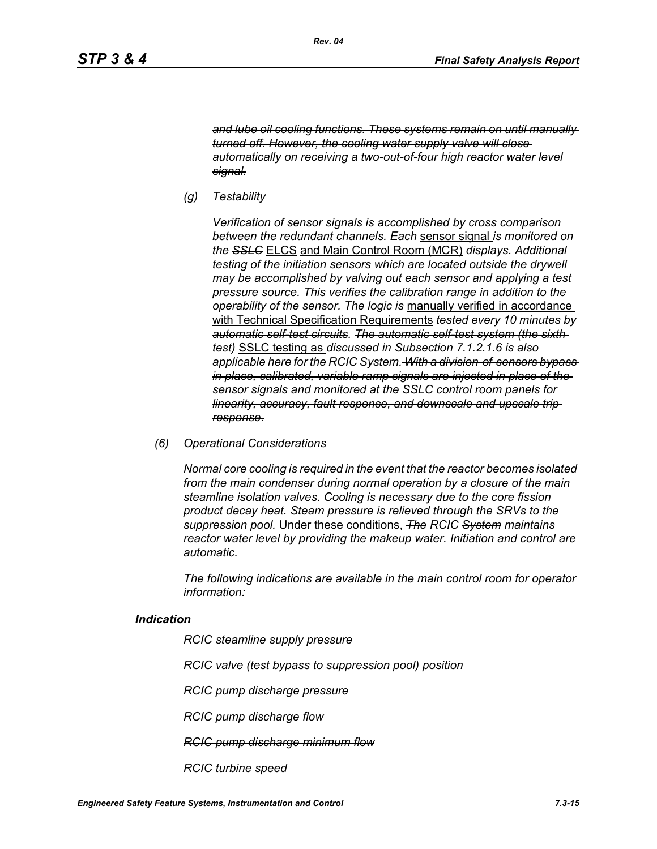*and lube oil cooling functions. These systems remain on until manually turned off. However, the cooling water supply valve will close automatically on receiving a two-out-of-four high reactor water level signal.*

*(g) Testability*

*Verification of sensor signals is accomplished by cross comparison between the redundant channels. Each* sensor signal *is monitored on the SSLC* ELCS and Main Control Room (MCR) *displays. Additional testing of the initiation sensors which are located outside the drywell may be accomplished by valving out each sensor and applying a test pressure source. This verifies the calibration range in addition to the operability of the sensor. The logic is* manually verified in accordance with Technical Specification Requirements *tested every 10 minutes by automatic self-test circuits. The automatic self-test system (the sixth test)* SSLC testing as *discussed in Subsection 7.1.2.1.6 is also applicable here for the RCIC System. With a division-of-sensors bypass in place, calibrated, variable ramp signals are injected in place of the sensor signals and monitored at the SSLC control room panels for linearity, accuracy, fault response, and downscale and upscale trip response.*

*(6) Operational Considerations*

*Normal core cooling is required in the event that the reactor becomes isolated from the main condenser during normal operation by a closure of the main steamline isolation valves. Cooling is necessary due to the core fission product decay heat. Steam pressure is relieved through the SRVs to the suppression pool.* Under these conditions, *The RCIC System maintains reactor water level by providing the makeup water. Initiation and control are automatic.*

*The following indications are available in the main control room for operator information:*

#### *Indication*

*RCIC steamline supply pressure*

*RCIC valve (test bypass to suppression pool) position*

*RCIC pump discharge pressure*

*RCIC pump discharge flow*

*RCIC pump discharge minimum flow*

*RCIC turbine speed*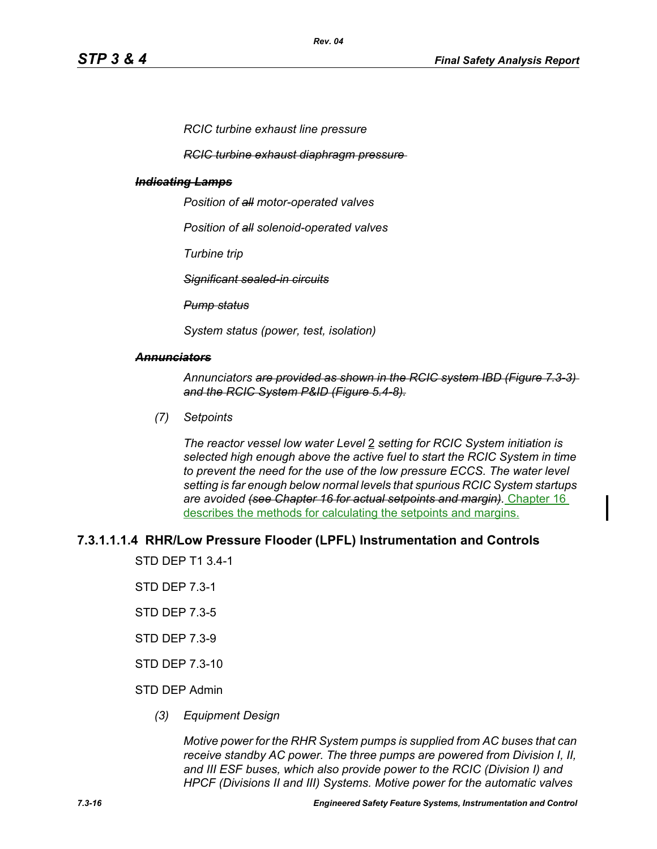*RCIC turbine exhaust line pressure*

*RCIC turbine exhaust diaphragm pressure* 

#### *Indicating Lamps*

*Position of all motor-operated valves*

*Position of all solenoid-operated valves*

*Turbine trip*

*Significant sealed-in circuits*

*Pump status*

*System status (power, test, isolation)*

#### *Annunciators*

*Annunciators are provided as shown in the RCIC system IBD (Figure 7.3-3) and the RCIC System P&ID (Figure 5.4-8).*

*(7) Setpoints*

*The reactor vessel low water Level* 2 *setting for RCIC System initiation is selected high enough above the active fuel to start the RCIC System in time to prevent the need for the use of the low pressure ECCS. The water level setting is far enough below normal levels that spurious RCIC System startups are avoided (see Chapter 16 for actual setpoints and margin).* Chapter 16 describes the methods for calculating the setpoints and margins.

#### **7.3.1.1.1.4 RHR/Low Pressure Flooder (LPFL) Instrumentation and Controls**

STD DEP T1 3.4-1

- STD DEP 7.3-1
- STD DEP 7.3-5
- STD DEP 7.3-9
- STD DEP 7.3-10

#### STD DEP Admin

*(3) Equipment Design*

*Motive power for the RHR System pumps is supplied from AC buses that can receive standby AC power. The three pumps are powered from Division I, II, and III ESF buses, which also provide power to the RCIC (Division I) and HPCF (Divisions II and III) Systems. Motive power for the automatic valves*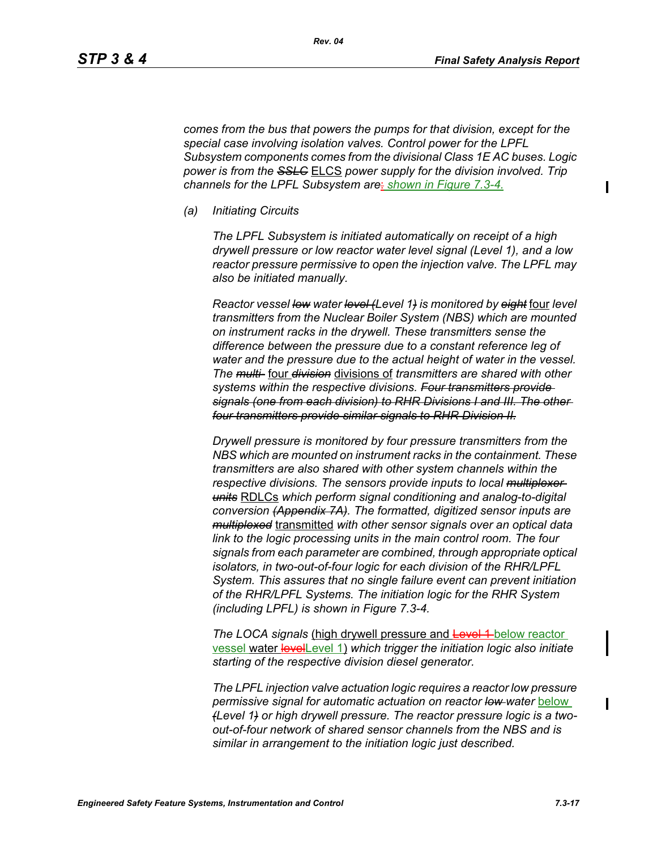*comes from the bus that powers the pumps for that division, except for the special case involving isolation valves. Control power for the LPFL Subsystem components comes from the divisional Class 1E AC buses. Logic power is from the SSLC* ELCS *power supply for the division involved. Trip channels for the LPFL Subsystem are*: *shown in Figure 7.3-4.*

*(a) Initiating Circuits*

*The LPFL Subsystem is initiated automatically on receipt of a high drywell pressure or low reactor water level signal (Level 1), and a low reactor pressure permissive to open the injection valve. The LPFL may also be initiated manually.*

*Reactor vessel low water level (Level 1) is monitored by eight* four *level transmitters from the Nuclear Boiler System (NBS) which are mounted on instrument racks in the drywell. These transmitters sense the difference between the pressure due to a constant reference leg of water and the pressure due to the actual height of water in the vessel. The multi-* four *division* divisions of *transmitters are shared with other systems within the respective divisions. Four transmitters provide signals (one from each division) to RHR Divisions I and III. The other four transmitters provide similar signals to RHR Division II.*

*Drywell pressure is monitored by four pressure transmitters from the NBS which are mounted on instrument racks in the containment. These transmitters are also shared with other system channels within the respective divisions. The sensors provide inputs to local multiplexer units* RDLCs *which perform signal conditioning and analog-to-digital conversion (Appendix 7A). The formatted, digitized sensor inputs are multiplexed* transmitted *with other sensor signals over an optical data link to the logic processing units in the main control room. The four signals from each parameter are combined, through appropriate optical isolators, in two-out-of-four logic for each division of the RHR/LPFL System. This assures that no single failure event can prevent initiation of the RHR/LPFL Systems. The initiation logic for the RHR System (including LPFL) is shown in Figure 7.3-4.*

*The LOCA signals (high drywell pressure and Level 1-below reactor)* vessel water levelLevel 1) *which trigger the initiation logic also initiate starting of the respective division diesel generator.*

*The LPFL injection valve actuation logic requires a reactor low pressure permissive signal for automatic actuation on reactor low water* below *(Level 1) or high drywell pressure. The reactor pressure logic is a twoout-of-four network of shared sensor channels from the NBS and is similar in arrangement to the initiation logic just described.*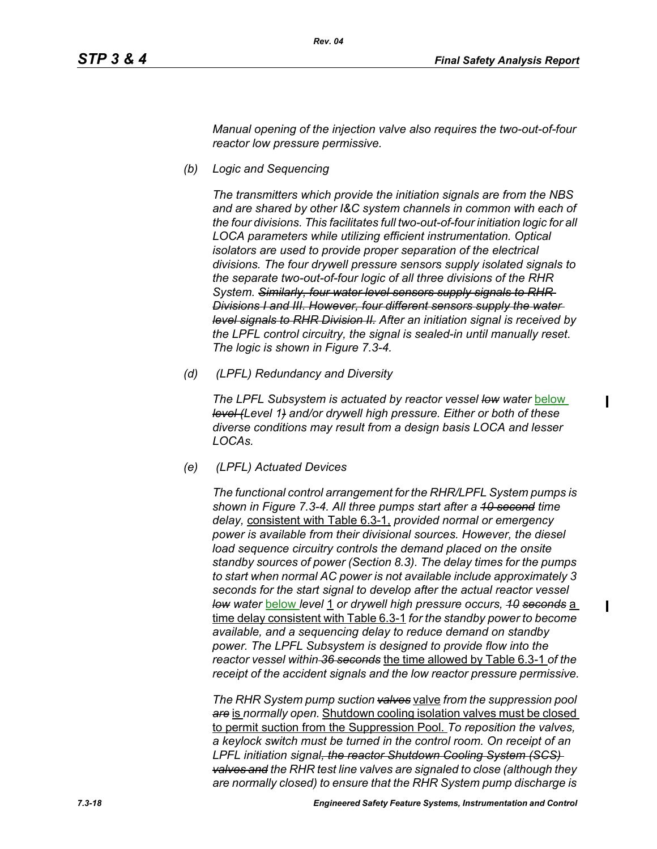*Manual opening of the injection valve also requires the two-out-of-four reactor low pressure permissive.*

*(b) Logic and Sequencing*

*The transmitters which provide the initiation signals are from the NBS and are shared by other I&C system channels in common with each of the four divisions. This facilitates full two-out-of-four initiation logic for all LOCA parameters while utilizing efficient instrumentation. Optical isolators are used to provide proper separation of the electrical divisions. The four drywell pressure sensors supply isolated signals to the separate two-out-of-four logic of all three divisions of the RHR System. Similarly, four water level sensors supply signals to RHR Divisions I and III. However, four different sensors supply the water level signals to RHR Division II. After an initiation signal is received by the LPFL control circuitry, the signal is sealed-in until manually reset. The logic is shown in Figure 7.3-4.*

*(d) (LPFL) Redundancy and Diversity*

The LPFL Subsystem is actuated by reactor vessel low water **below** *level (Level 1) and/or drywell high pressure. Either or both of these diverse conditions may result from a design basis LOCA and lesser LOCAs.*

*(e) (LPFL) Actuated Devices*

*The functional control arrangement for the RHR/LPFL System pumps is shown in Figure 7.3-4. All three pumps start after a 10 second time delay,* consistent with Table 6.3-1, *provided normal or emergency power is available from their divisional sources. However, the diesel*  load sequence circuitry controls the demand placed on the onsite *standby sources of power (Section 8.3). The delay times for the pumps to start when normal AC power is not available include approximately 3 seconds for the start signal to develop after the actual reactor vessel low water* below *level* 1 *or drywell high pressure occurs, 10 seconds* a time delay consistent with Table 6.3-1 *for the standby power to become available, and a sequencing delay to reduce demand on standby power. The LPFL Subsystem is designed to provide flow into the reactor vessel within 36 seconds* the time allowed by Table 6.3-1 *of the receipt of the accident signals and the low reactor pressure permissive.*

*The RHR System pump suction valves* valve *from the suppression pool are* is *normally open.* Shutdown cooling isolation valves must be closed to permit suction from the Suppression Pool. *To reposition the valves, a keylock switch must be turned in the control room. On receipt of an LPFL initiation signal, the reactor Shutdown Cooling System (SCS) valves and the RHR test line valves are signaled to close (although they are normally closed) to ensure that the RHR System pump discharge is*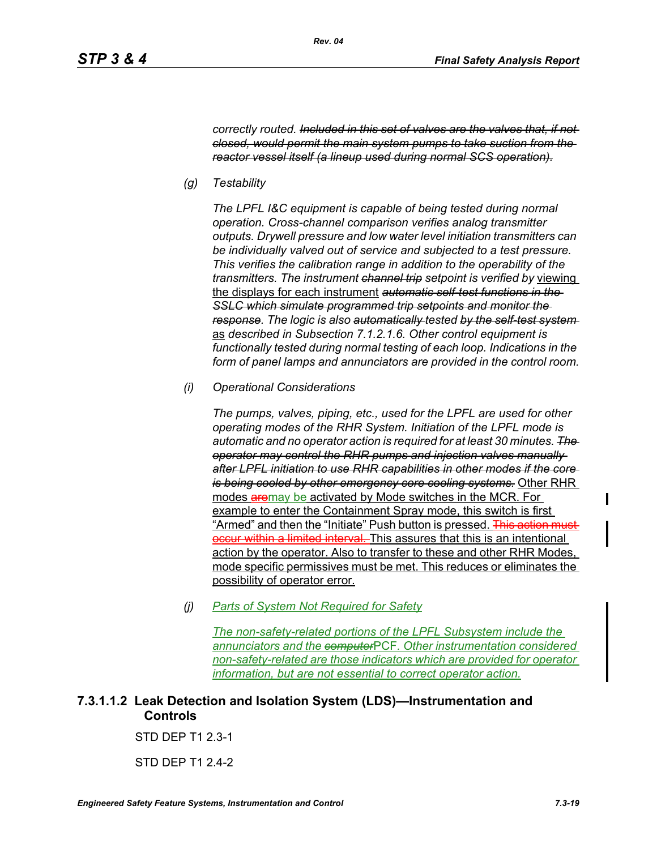*correctly routed. Included in this set of valves are the valves that, if not closed, would permit the main system pumps to take suction from the reactor vessel itself (a lineup used during normal SCS operation).*

*(g) Testability*

*The LPFL I&C equipment is capable of being tested during normal operation. Cross-channel comparison verifies analog transmitter outputs. Drywell pressure and low water level initiation transmitters can be individually valved out of service and subjected to a test pressure. This verifies the calibration range in addition to the operability of the transmitters. The instrument channel trip setpoint is verified by* viewing the displays for each instrument *automatic self-test functions in the SSLC which simulate programmed trip setpoints and monitor the response. The logic is also automatically tested by the self-test system*  as *described in Subsection 7.1.2.1.6. Other control equipment is functionally tested during normal testing of each loop. Indications in the form of panel lamps and annunciators are provided in the control room.*

*(i) Operational Considerations*

*The pumps, valves, piping, etc., used for the LPFL are used for other operating modes of the RHR System. Initiation of the LPFL mode is automatic and no operator action is required for at least 30 minutes. The operator may control the RHR pumps and injection valves manually after LPFL initiation to use RHR capabilities in other modes if the core is being cooled by other emergency core cooling systems.* Other RHR modes aremay be activated by Mode switches in the MCR. For example to enter the Containment Spray mode, this switch is first "Armed" and then the "Initiate" Push button is pressed. This action must <del>d interval. </del>This assures that this is an intentional action by the operator. Also to transfer to these and other RHR Modes, mode specific permissives must be met. This reduces or eliminates the possibility of operator error.

*(j) Parts of System Not Required for Safety*

*The non-safety-related portions of the LPFL Subsystem include the annunciators and the computer*PCF*. Other instrumentation considered non-safety-related are those indicators which are provided for operator information, but are not essential to correct operator action.*

# **7.3.1.1.2 Leak Detection and Isolation System (LDS)—Instrumentation and Controls**

STD DEP T1 2.3-1

STD DEP T1 2.4-2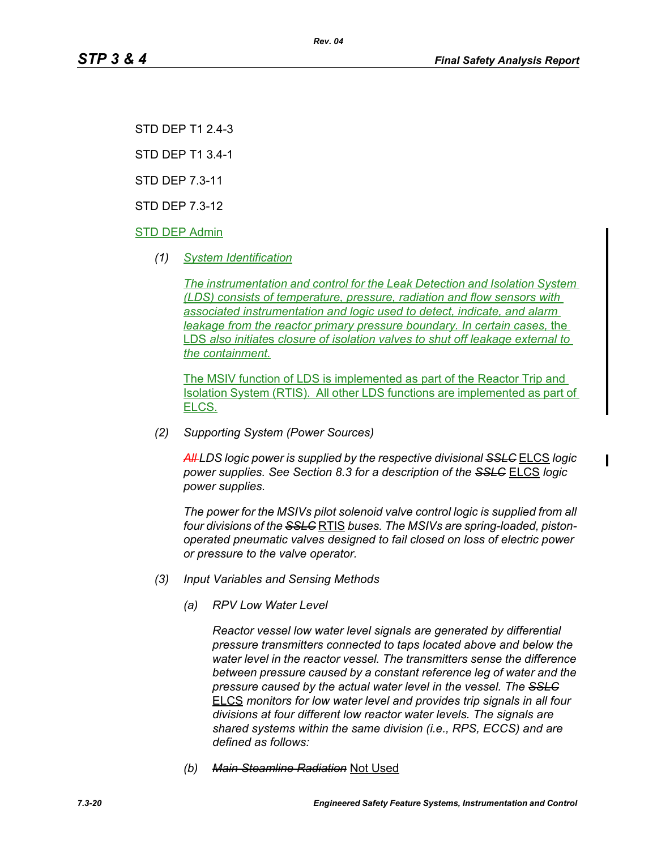STD DEP T1 2.4-3

STD DEP T1 3.4-1

STD DEP 7.3-11

STD DEP 7.3-12

STD DEP Admin

*(1) System Identification*

*The instrumentation and control for the Leak Detection and Isolation System (LDS) consists of temperature, pressure, radiation and flow sensors with associated instrumentation and logic used to detect, indicate, and alarm leakage from the reactor primary pressure boundary. In certain cases,* the LDS *also initiate*s *closure of isolation valves to shut off leakage external to the containment.*

*Rev. 04*

The MSIV function of LDS is implemented as part of the Reactor Trip and Isolation System (RTIS). All other LDS functions are implemented as part of ELCS.

*(2) Supporting System (Power Sources)*

*All LDS logic power is supplied by the respective divisional SSLC* ELCS *logic power supplies. See Section 8.3 for a description of the SSLC* ELCS *logic power supplies.*

*The power for the MSIVs pilot solenoid valve control logic is supplied from all four divisions of the SSLC* RTIS *buses. The MSIVs are spring-loaded, pistonoperated pneumatic valves designed to fail closed on loss of electric power or pressure to the valve operator.*

- *(3) Input Variables and Sensing Methods*
	- *(a) RPV Low Water Level*

*Reactor vessel low water level signals are generated by differential pressure transmitters connected to taps located above and below the water level in the reactor vessel. The transmitters sense the difference between pressure caused by a constant reference leg of water and the pressure caused by the actual water level in the vessel. The SSLC* ELCS *monitors for low water level and provides trip signals in all four divisions at four different low reactor water levels. The signals are shared systems within the same division (i.e., RPS, ECCS) and are defined as follows:*

*(b) Main Steamline Radiation* Not Used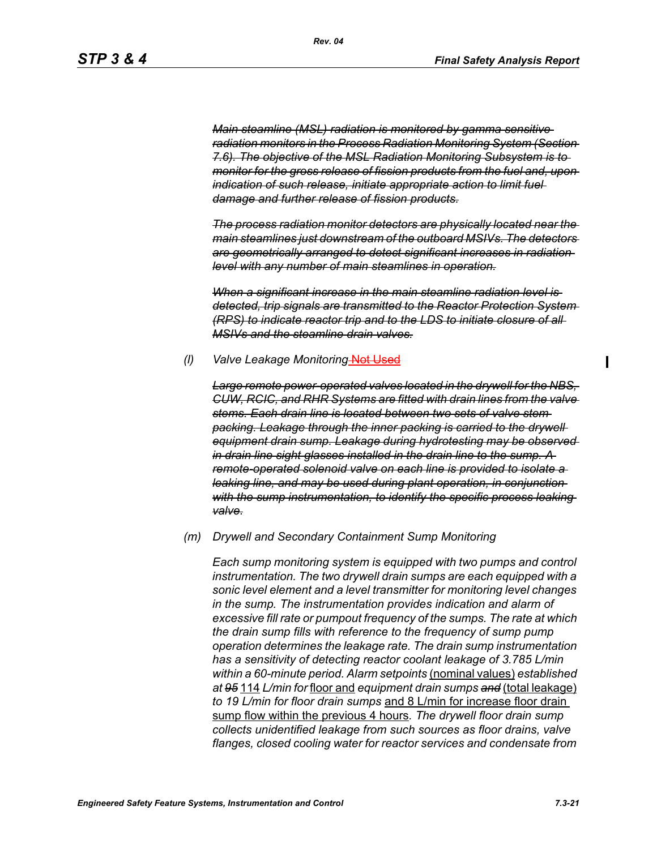*Main steamline (MSL) radiation is monitored by gamma sensitive radiation monitors in the Process Radiation Monitoring System (Section 7.6). The objective of the MSL Radiation Monitoring Subsystem is to monitor for the gross release of fission products from the fuel and, upon indication of such release, initiate appropriate action to limit fuel damage and further release of fission products.*

*The process radiation monitor detectors are physically located near the main steamlines just downstream of the outboard MSIVs. The detectors are geometrically arranged to detect significant increases in radiation level with any number of main steamlines in operation.*

*When a significant increase in the main steamline radiation level is detected, trip signals are transmitted to the Reactor Protection System (RPS) to indicate reactor trip and to the LDS to initiate closure of all MSIVs and the steamline drain valves.*

#### *(l) Valve Leakage Monitoring* Not Used

*Large remote power-operated valves located in the drywell for the NBS, CUW, RCIC, and RHR Systems are fitted with drain lines from the valve stems. Each drain line is located between two sets of valve stem packing. Leakage through the inner packing is carried to the drywell equipment drain sump. Leakage during hydrotesting may be observed in drain line sight glasses installed in the drain line to the sump. A remote-operated solenoid valve on each line is provided to isolate a leaking line, and may be used during plant operation, in conjunction with the sump instrumentation, to identify the specific process leaking valve.*

#### *(m) Drywell and Secondary Containment Sump Monitoring*

*Each sump monitoring system is equipped with two pumps and control instrumentation. The two drywell drain sumps are each equipped with a sonic level element and a level transmitter for monitoring level changes in the sump. The instrumentation provides indication and alarm of excessive fill rate or pumpout frequency of the sumps. The rate at which the drain sump fills with reference to the frequency of sump pump operation determines the leakage rate. The drain sump instrumentation has a sensitivity of detecting reactor coolant leakage of 3.785 L/min within a 60-minute period. Alarm setpoints* (nominal values) *established at 95* 114 *L/min for* floor and *equipment drain sumps and* (total leakage) *to 19 L/min for floor drain sumps* and 8 L/min for increase floor drain sump flow within the previous 4 hours*. The drywell floor drain sump collects unidentified leakage from such sources as floor drains, valve flanges, closed cooling water for reactor services and condensate from*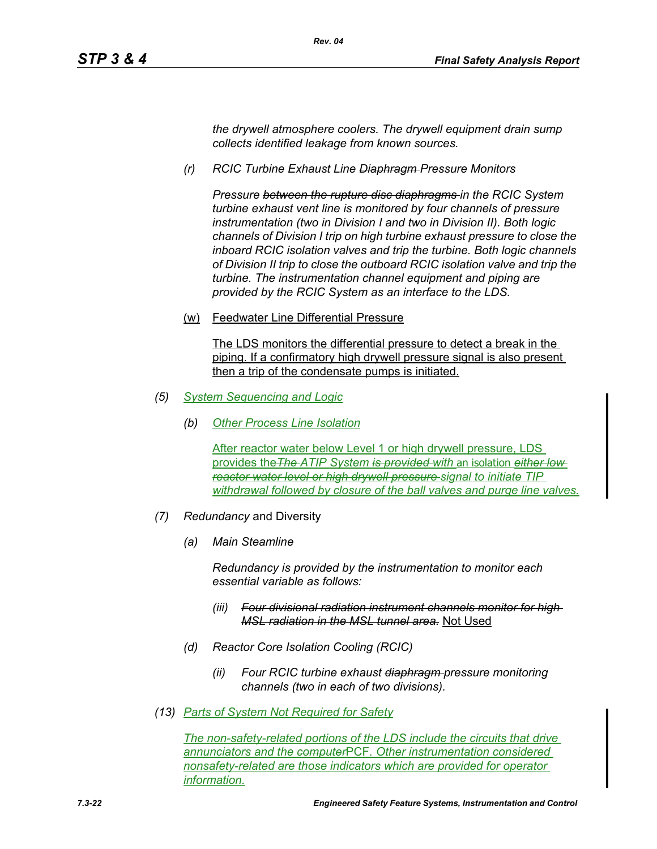*the drywell atmosphere coolers. The drywell equipment drain sump collects identified leakage from known sources.*

*(r) RCIC Turbine Exhaust Line Diaphragm Pressure Monitors*

*Pressure between the rupture disc diaphragms in the RCIC System turbine exhaust vent line is monitored by four channels of pressure instrumentation (two in Division I and two in Division II). Both logic channels of Division I trip on high turbine exhaust pressure to close the inboard RCIC isolation valves and trip the turbine. Both logic channels of Division II trip to close the outboard RCIC isolation valve and trip the turbine. The instrumentation channel equipment and piping are provided by the RCIC System as an interface to the LDS.*

(w) Feedwater Line Differential Pressure

The LDS monitors the differential pressure to detect a break in the piping. If a confirmatory high drywell pressure signal is also present then a trip of the condensate pumps is initiated.

- *(5) System Sequencing and Logic*
	- *(b) Other Process Line Isolation*

After reactor water below Level 1 or high drywell pressure, LDS provides the*The ATIP System is provided with* an isolation *either low reactor water level or high drywell pressure signal to initiate TIP withdrawal followed by closure of the ball valves and purge line valves.*

- *(7) Redundancy* and Diversity
	- *(a) Main Steamline*

*Redundancy is provided by the instrumentation to monitor each essential variable as follows:*

- *(iii) Four divisional radiation instrument channels monitor for high MSL radiation in the MSL tunnel area.* Not Used
- *(d) Reactor Core Isolation Cooling (RCIC)*
	- *(ii) Four RCIC turbine exhaust diaphragm pressure monitoring channels (two in each of two divisions).*
- *(13) Parts of System Not Required for Safety*

*The non-safety-related portions of the LDS include the circuits that drive annunciators and the computer*PCF*. Other instrumentation considered nonsafety-related are those indicators which are provided for operator information.*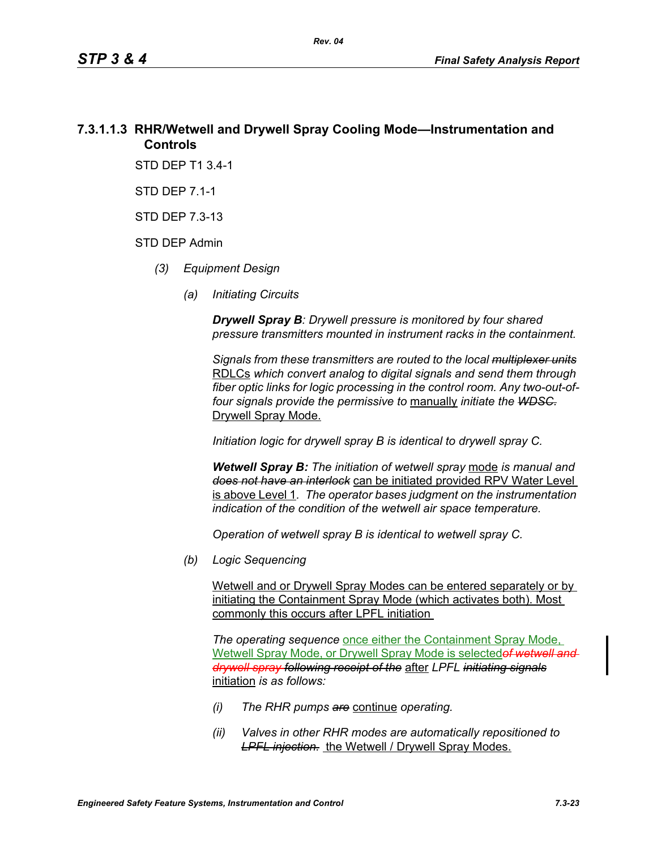# **7.3.1.1.3 RHR/Wetwell and Drywell Spray Cooling Mode—Instrumentation and Controls**

STD DEP T1 3.4-1

STD DEP 7.1-1

STD DEP 7.3-13

#### STD DEP Admin

- *(3) Equipment Design*
	- *(a) Initiating Circuits*

*Drywell Spray B: Drywell pressure is monitored by four shared pressure transmitters mounted in instrument racks in the containment.* 

*Signals from these transmitters are routed to the local multiplexer units* RDLCs *which convert analog to digital signals and send them through fiber optic links for logic processing in the control room. Any two-out-offour signals provide the permissive to* manually *initiate the WDSC.* Drywell Spray Mode.

*Initiation logic for drywell spray B is identical to drywell spray C.*

*Wetwell Spray B: The initiation of wetwell spray* mode *is manual and does not have an interlock* can be initiated provided RPV Water Level is above Level 1*. The operator bases judgment on the instrumentation indication of the condition of the wetwell air space temperature.*

*Operation of wetwell spray B is identical to wetwell spray C.*

*(b) Logic Sequencing*

Wetwell and or Drywell Spray Modes can be entered separately or by initiating the Containment Spray Mode (which activates both). Most commonly this occurs after LPFL initiation

*The operating sequence* once either the Containment Spray Mode, Wetwell Spray Mode, or Drywell Spray Mode is selected*of wetwell and drywell spray following receipt of the* after *LPFL initiating signals* initiation *is as follows:*

- *(i) The RHR pumps are* continue *operating.*
- *(ii) Valves in other RHR modes are automatically repositioned to*  **LPFL injection.** the Wetwell / Drywell Spray Modes.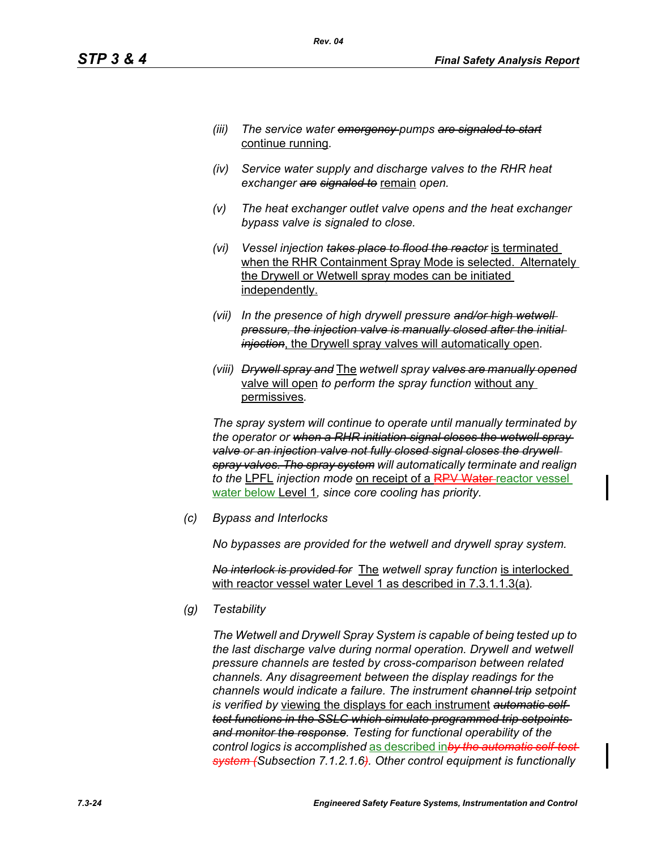- *(iii) The service water emergency pumps are signaled to start* continue running*.*
- *(iv) Service water supply and discharge valves to the RHR heat exchanger are signaled to* remain *open.*
- *(v) The heat exchanger outlet valve opens and the heat exchanger bypass valve is signaled to close.*
- *(vi) Vessel injection takes place to flood the reactor* is terminated when the RHR Containment Spray Mode is selected. Alternately the Drywell or Wetwell spray modes can be initiated independently.
- *(vii) In the presence of high drywell pressure and/or high wetwell pressure, the injection valve is manually closed after the initial injection*, the Drywell spray valves will automatically open*.*
- *(viii) Drywell spray and* The *wetwell spray valves are manually opened* valve will open *to perform the spray function* without any permissives*.*

*The spray system will continue to operate until manually terminated by the operator or when a RHR initiation signal closes the wetwell spray*  valve or an injection valve not fully closed signal closes the drywell *spray valves. The spray system will automatically terminate and realign to the* LPFL *injection mode* on receipt of a RPV Water reactor vessel water below Level 1*, since core cooling has priority.*

*(c) Bypass and Interlocks*

*No bypasses are provided for the wetwell and drywell spray system.*

*No interlock is provided for* The *wetwell spray function* is interlocked with reactor vessel water Level 1 as described in 7.3.1.1.3(a)*.*

*(g) Testability*

*The Wetwell and Drywell Spray System is capable of being tested up to the last discharge valve during normal operation. Drywell and wetwell pressure channels are tested by cross-comparison between related channels. Any disagreement between the display readings for the channels would indicate a failure. The instrument channel trip setpoint is verified by* viewing the displays for each instrument *automatic selftest functions in the SSLC which simulate programmed trip setpoints and monitor the response. Testing for functional operability of the control logics is accomplished* as described in*by the automatic self-test system (Subsection 7.1.2.1.6). Other control equipment is functionally*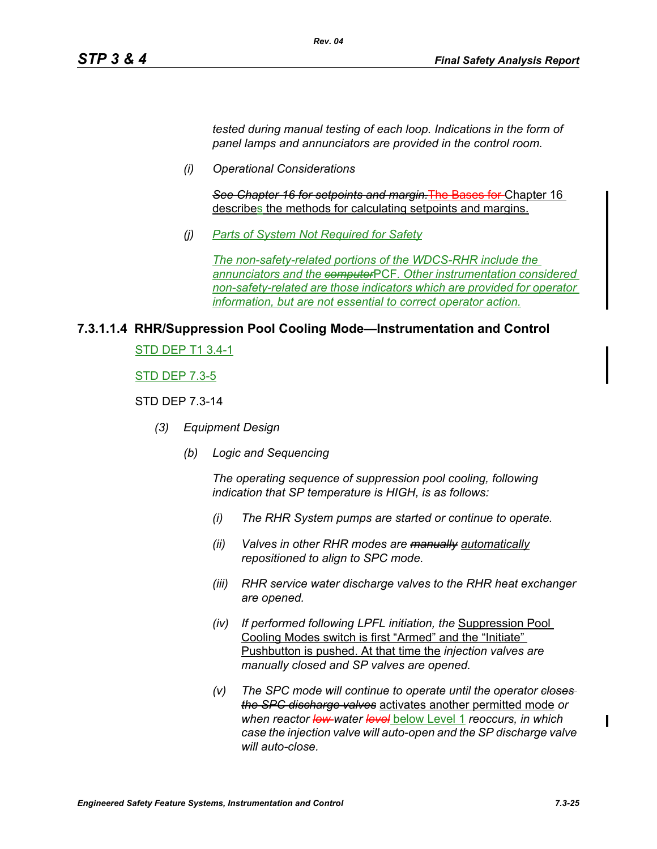*tested during manual testing of each loop. Indications in the form of panel lamps and annunciators are provided in the control room.*

*(i) Operational Considerations*

*See Chapter 16 for setpoints and margin.*The Bases for Chapter 16 describes the methods for calculating setpoints and margins.

*(j) Parts of System Not Required for Safety*

*Rev. 04*

*The non-safety-related portions of the WDCS-RHR include the annunciators and the computer*PCF*. Other instrumentation considered non-safety-related are those indicators which are provided for operator information, but are not essential to correct operator action.*

#### **7.3.1.1.4 RHR/Suppression Pool Cooling Mode—Instrumentation and Control**

STD DEP T1 3.4-1

STD DEP 7.3-5

#### STD DEP 7.3-14

- *(3) Equipment Design*
	- *(b) Logic and Sequencing*

*The operating sequence of suppression pool cooling, following indication that SP temperature is HIGH, is as follows:*

- *(i) The RHR System pumps are started or continue to operate.*
- *(ii) Valves in other RHR modes are manually automatically repositioned to align to SPC mode.*
- *(iii) RHR service water discharge valves to the RHR heat exchanger are opened.*
- *(iv) If performed following LPFL initiation, the* Suppression Pool Cooling Modes switch is first "Armed" and the "Initiate" Pushbutton is pushed. At that time the *injection valves are manually closed and SP valves are opened.*
- *(v) The SPC mode will continue to operate until the operator closes the SPC discharge valves* activates another permitted mode *or when reactor low water level* below Level 1 *reoccurs, in which case the injection valve will auto-open and the SP discharge valve will auto-close.*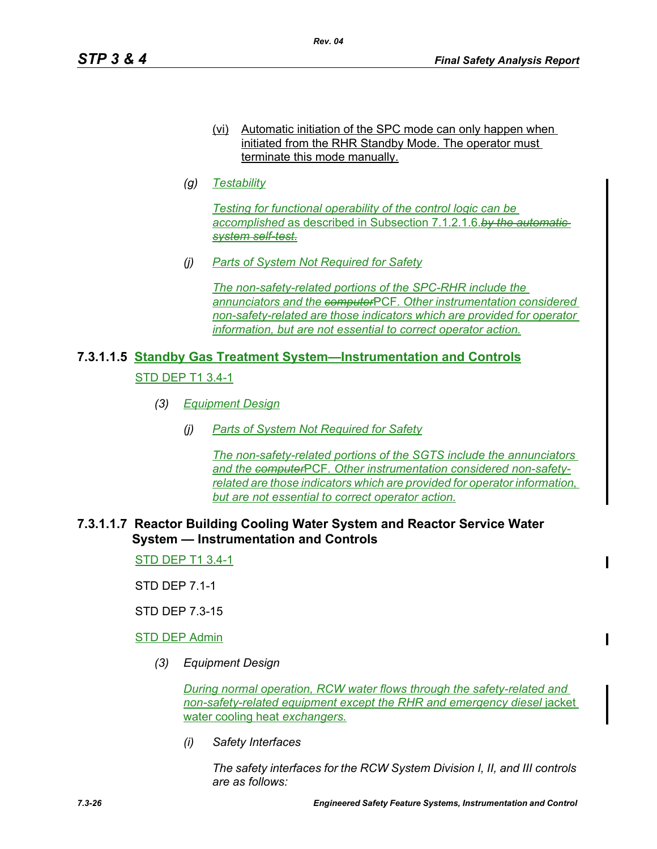- (vi) Automatic initiation of the SPC mode can only happen when initiated from the RHR Standby Mode. The operator must terminate this mode manually.
- *(g) Testability*

*Testing for functional operability of the control logic can be accomplished* as described in Subsection 7.1.2.1.6.*by the automatic system self-test.*

*(j) Parts of System Not Required for Safety*

*The non-safety-related portions of the SPC-RHR include the annunciators and the computer*PCF*. Other instrumentation considered non-safety-related are those indicators which are provided for operator information, but are not essential to correct operator action.*

# **7.3.1.1.5 Standby Gas Treatment System—Instrumentation and Controls** STD DEP T1 3.4-1

- *(3) Equipment Design*
	- *(j) Parts of System Not Required for Safety*

*The non-safety-related portions of the SGTS include the annunciators and the computer*PCF*. Other instrumentation considered non-safetyrelated are those indicators which are provided for operator information, but are not essential to correct operator action.*

#### **7.3.1.1.7 Reactor Building Cooling Water System and Reactor Service Water System — Instrumentation and Controls**

STD DEP T1 3.4-1

STD DEP 7.1-1

STD DEP 7.3-15

STD DEP Admin

*(3) Equipment Design*

*During normal operation, RCW water flows through the safety-related and non-safety-related equipment except the RHR and emergency diesel* jacket water cooling heat *exchangers.*

*(i) Safety Interfaces*

*The safety interfaces for the RCW System Division I, II, and III controls are as follows:*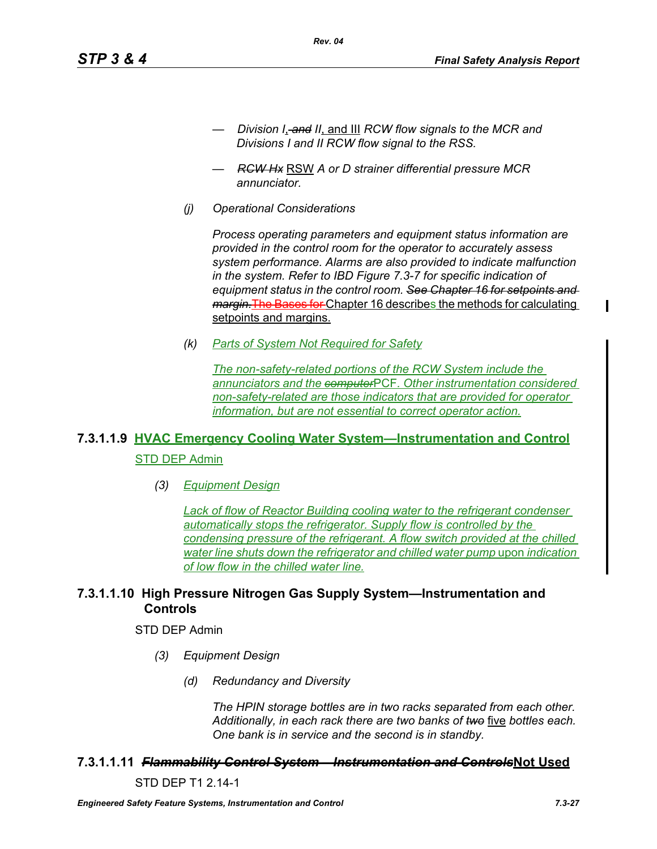- *Division I*, *and II*, and III *RCW flow signals to the MCR and Divisions I and II RCW flow signal to the RSS.*
- *RCW Hx* RSW *A or D strainer differential pressure MCR annunciator.*

*Rev. 04*

*(j) Operational Considerations*

*Process operating parameters and equipment status information are provided in the control room for the operator to accurately assess system performance. Alarms are also provided to indicate malfunction in the system. Refer to IBD Figure 7.3-7 for specific indication of equipment status in the control room. See Chapter 16 for setpoints and margin.*The Bases for Chapter 16 describes the methods for calculating setpoints and margins.

*(k) Parts of System Not Required for Safety*

*The non-safety-related portions of the RCW System include the annunciators and the computer*PCF*. Other instrumentation considered non-safety-related are those indicators that are provided for operator information, but are not essential to correct operator action.*

# **7.3.1.1.9 HVAC Emergency Cooling Water System—Instrumentation and Control** STD DEP Admin

*(3) Equipment Design*

*Lack of flow of Reactor Building cooling water to the refrigerant condenser automatically stops the refrigerator. Supply flow is controlled by the condensing pressure of the refrigerant. A flow switch provided at the chilled water line shuts down the refrigerator and chilled water pump* upon *indication of low flow in the chilled water line.*

# **7.3.1.1.10 High Pressure Nitrogen Gas Supply System—Instrumentation and Controls**

#### STD DEP Admin

- *(3) Equipment Design*
	- *(d) Redundancy and Diversity*

*The HPIN storage bottles are in two racks separated from each other. Additionally, in each rack there are two banks of two* five *bottles each. One bank is in service and the second is in standby.*

#### **7.3.1.1.11** *Flammability Control System – Instrumentation and Controls***Not Used**

STD DEP T1 2.14-1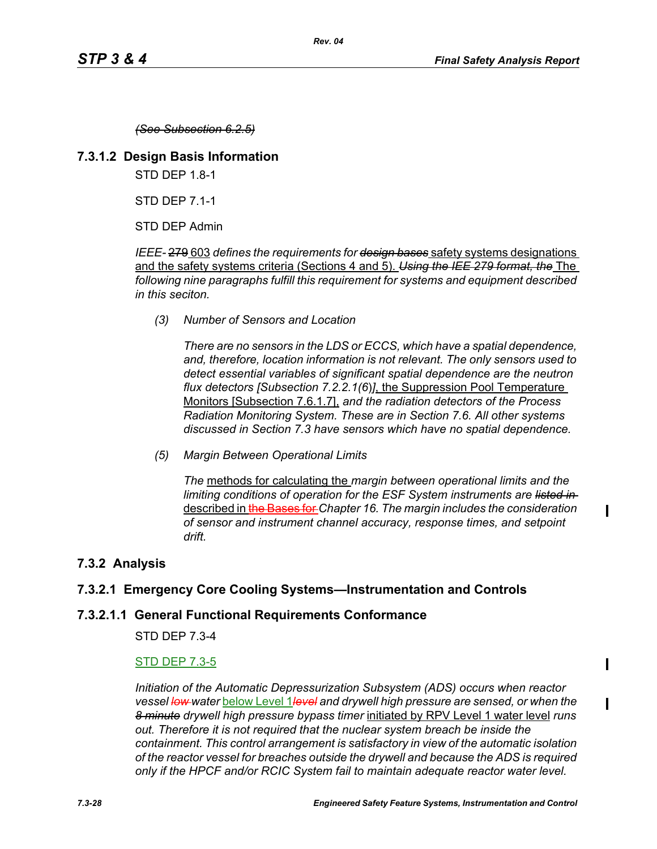*(See Subsection 6.2.5)*

# **7.3.1.2 Design Basis Information**

STD DEP 1.8-1

STD DEP 7.1-1

STD DEP Admin

*IEEE-* 279 603 *defines the requirements for design bases* safety systems designations and the safety systems criteria (Sections 4 and 5). *Using the IEE 279 format, the* The *following nine paragraphs fulfill this requirement for systems and equipment described in this seciton.*

*(3) Number of Sensors and Location*

*There are no sensors in the LDS or ECCS, which have a spatial dependence, and, therefore, location information is not relevant. The only sensors used to detect essential variables of significant spatial dependence are the neutron flux detectors [Subsection 7.2.2.1(6*)*]*, the Suppression Pool Temperature Monitors [Subsection 7.6.1.7], *and the radiation detectors of the Process Radiation Monitoring System. These are in Section 7.6. All other systems discussed in Section 7.3 have sensors which have no spatial dependence.*

*(5) Margin Between Operational Limits*

*The* methods for calculating the *margin between operational limits and the limiting conditions of operation for the ESF System instruments are listed in*  described in the Bases for *Chapter 16. The margin includes the consideration of sensor and instrument channel accuracy, response times, and setpoint drift.*

# **7.3.2 Analysis**

# **7.3.2.1 Emergency Core Cooling Systems—Instrumentation and Controls**

# **7.3.2.1.1 General Functional Requirements Conformance**

STD DEP 7.3-4

# STD DEP 7.3-5

*Initiation of the Automatic Depressurization Subsystem (ADS) occurs when reactor vessel low water* below Level 1*level and drywell high pressure are sensed, or when the 8 minute drywell high pressure bypass timer* initiated by RPV Level 1 water level *runs out. Therefore it is not required that the nuclear system breach be inside the containment. This control arrangement is satisfactory in view of the automatic isolation of the reactor vessel for breaches outside the drywell and because the ADS is required only if the HPCF and/or RCIC System fail to maintain adequate reactor water level.*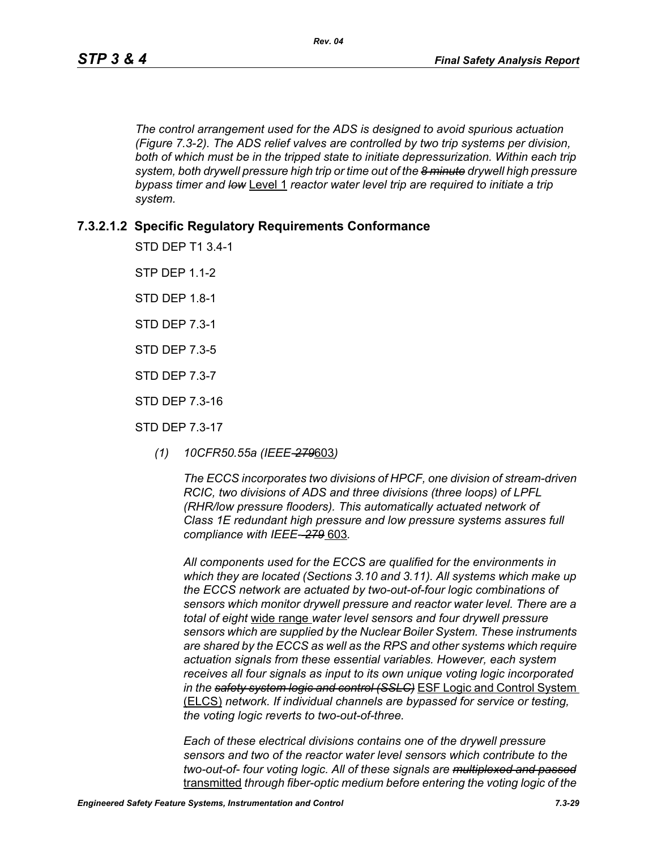*The control arrangement used for the ADS is designed to avoid spurious actuation (Figure 7.3-2). The ADS relief valves are controlled by two trip systems per division,*  both of which must be in the tripped state to initiate depressurization. Within each trip *system, both drywell pressure high trip or time out of the 8 minute drywell high pressure bypass timer and low* Level 1 *reactor water level trip are required to initiate a trip system.*

# **7.3.2.1.2 Specific Regulatory Requirements Conformance**

STD DEP T1 3.4-1

**STP DFP 1 1-2** 

STD DEP 1.8-1

STD DEP 7.3-1

STD DEP 7.3-5

STD DEP 7.3-7

STD DEP 7.3-16

STD DEP 7.3-17

*(1) 10CFR50.55a (IEEE-279*603*)*

*The ECCS incorporates two divisions of HPCF, one division of stream-driven RCIC, two divisions of ADS and three divisions (three loops) of LPFL (RHR/low pressure flooders). This automatically actuated network of Class 1E redundant high pressure and low pressure systems assures full compliance with IEEE- 279* 603*.*

*All components used for the ECCS are qualified for the environments in which they are located (Sections 3.10 and 3.11). All systems which make up the ECCS network are actuated by two-out-of-four logic combinations of sensors which monitor drywell pressure and reactor water level. There are a total of eight* wide range *water level sensors and four drywell pressure sensors which are supplied by the Nuclear Boiler System. These instruments are shared by the ECCS as well as the RPS and other systems which require actuation signals from these essential variables. However, each system receives all four signals as input to its own unique voting logic incorporated in the safety system logic and control (SSLC)* ESF Logic and Control System (ELCS) *network. If individual channels are bypassed for service or testing, the voting logic reverts to two-out-of-three.*

*Each of these electrical divisions contains one of the drywell pressure sensors and two of the reactor water level sensors which contribute to the two-out-of- four voting logic. All of these signals are multiplexed and passed* transmitted *through fiber-optic medium before entering the voting logic of the*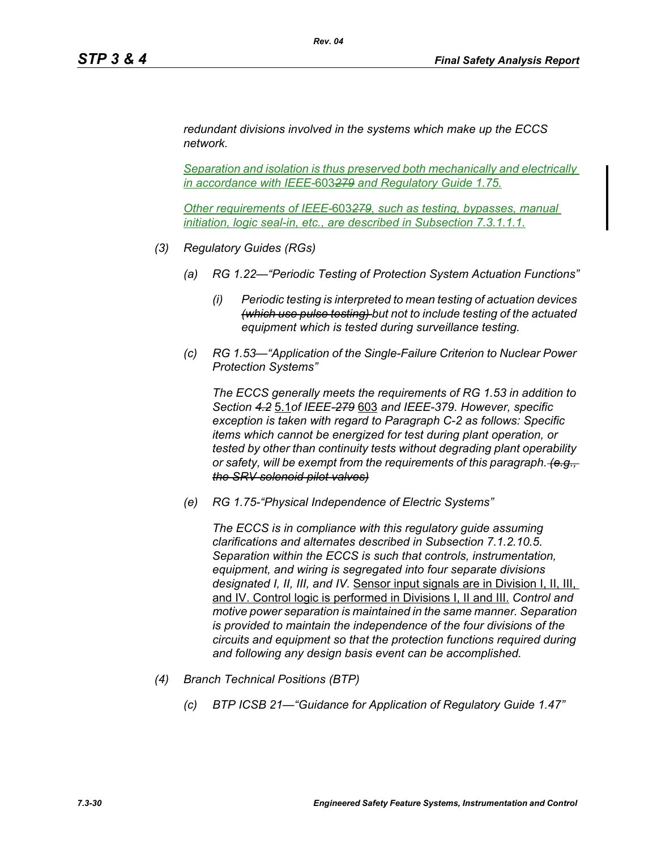*redundant divisions involved in the systems which make up the ECCS network.* 

*Separation and isolation is thus preserved both mechanically and electrically in accordance with IEEE-*603*279 and Regulatory Guide 1.75.*

*Other requirements of IEEE-*603*279, such as testing, bypasses, manual initiation, logic seal-in, etc., are described in Subsection 7.3.1.1.1.*

- *(3) Regulatory Guides (RGs)*
	- *(a) RG 1.22—"Periodic Testing of Protection System Actuation Functions"*
		- *(i) Periodic testing is interpreted to mean testing of actuation devices (which use pulse testing) but not to include testing of the actuated equipment which is tested during surveillance testing.*
	- *(c) RG 1.53—"Application of the Single-Failure Criterion to Nuclear Power Protection Systems"*

*The ECCS generally meets the requirements of RG 1.53 in addition to Section 4.2* 5.1*of IEEE-279* 603 *and IEEE-379. However, specific exception is taken with regard to Paragraph C-2 as follows: Specific items which cannot be energized for test during plant operation, or tested by other than continuity tests without degrading plant operability or safety, will be exempt from the requirements of this paragraph. (e.g., the SRV solenoid pilot valves)*

*(e) RG 1.75-"Physical Independence of Electric Systems"*

*The ECCS is in compliance with this regulatory guide assuming clarifications and alternates described in Subsection 7.1.2.10.5. Separation within the ECCS is such that controls, instrumentation, equipment, and wiring is segregated into four separate divisions designated I, II, III, and IV.* Sensor input signals are in Division I, II, III, and IV. Control logic is performed in Divisions I, II and III. *Control and motive power separation is maintained in the same manner. Separation is provided to maintain the independence of the four divisions of the circuits and equipment so that the protection functions required during and following any design basis event can be accomplished.*

- *(4) Branch Technical Positions (BTP)*
	- *(c) BTP ICSB 21—"Guidance for Application of Regulatory Guide 1.47"*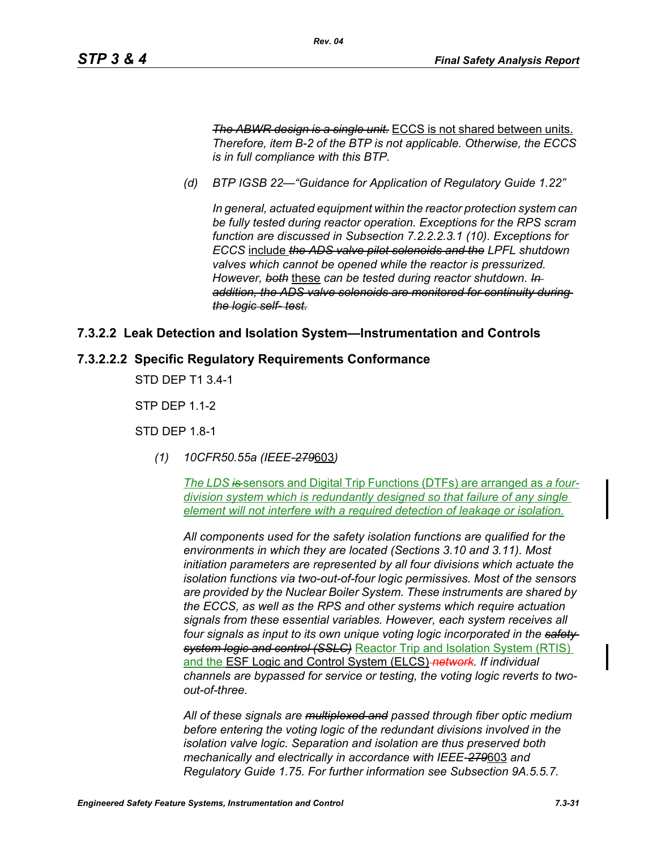*The ABWR design is a single unit.* ECCS is not shared between units. *Therefore, item B-2 of the BTP is not applicable. Otherwise, the ECCS is in full compliance with this BTP.*

*(d) BTP IGSB 22—"Guidance for Application of Regulatory Guide 1.22"*

*Rev. 04*

*In general, actuated equipment within the reactor protection system can be fully tested during reactor operation. Exceptions for the RPS scram function are discussed in Subsection 7.2.2.2.3.1 (10). Exceptions for ECCS* include *the ADS valve pilot solenoids and the LPFL shutdown valves which cannot be opened while the reactor is pressurized. However, both* these *can be tested during reactor shutdown. In addition, the ADS valve solenoids are monitored for continuity during the logic self- test.*

#### **7.3.2.2 Leak Detection and Isolation System—Instrumentation and Controls**

#### **7.3.2.2.2 Specific Regulatory Requirements Conformance**

STD DEP T1 3.4-1

STP DEP 1.1-2

STD DEP 1.8-1

*(1) 10CFR50.55a (IEEE-279*603*)*

*The LDS is* sensors and Digital Trip Functions (DTFs) are arranged as *a fourdivision system which is redundantly designed so that failure of any single element will not interfere with a required detection of leakage or isolation.*

*All components used for the safety isolation functions are qualified for the environments in which they are located (Sections 3.10 and 3.11). Most initiation parameters are represented by all four divisions which actuate the isolation functions via two-out-of-four logic permissives. Most of the sensors are provided by the Nuclear Boiler System. These instruments are shared by the ECCS, as well as the RPS and other systems which require actuation signals from these essential variables. However, each system receives all four signals as input to its own unique voting logic incorporated in the safety system logic and control (SSLC)* Reactor Trip and Isolation System (RTIS) and the ESF Logic and Control System (ELCS) *network. If individual channels are bypassed for service or testing, the voting logic reverts to twoout-of-three.*

*All of these signals are multiplexed and passed through fiber optic medium before entering the voting logic of the redundant divisions involved in the isolation valve logic. Separation and isolation are thus preserved both mechanically and electrically in accordance with IEEE-279*603 *and Regulatory Guide 1.75. For further information see Subsection 9A.5.5.7.*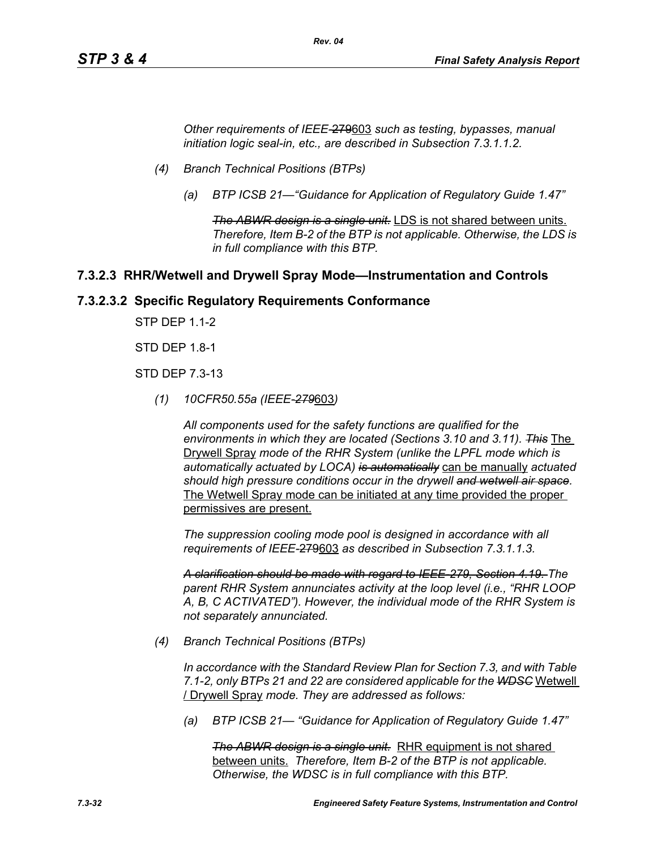*Other requirements of IEEE-*279603 *such as testing, bypasses, manual initiation logic seal-in, etc., are described in Subsection 7.3.1.1.2.*

*Rev. 04*

- *(4) Branch Technical Positions (BTPs)*
	- *(a) BTP ICSB 21—"Guidance for Application of Regulatory Guide 1.47"*

*The ABWR design is a single unit.* LDS is not shared between units. *Therefore, Item B-2 of the BTP is not applicable. Otherwise, the LDS is in full compliance with this BTP.*

#### **7.3.2.3 RHR/Wetwell and Drywell Spray Mode—Instrumentation and Controls**

#### **7.3.2.3.2 Specific Regulatory Requirements Conformance**

STP DEP 1.1-2

STD DEP 1.8-1

STD DEP 7.3-13

*(1) 10CFR50.55a (IEEE-279*603*)*

*All components used for the safety functions are qualified for the environments in which they are located (Sections 3.10 and 3.11). This* The Drywell Spray *mode of the RHR System (unlike the LPFL mode which is automatically actuated by LOCA) is automatically* can be manually *actuated should high pressure conditions occur in the drywell and wetwell air space.* The Wetwell Spray mode can be initiated at any time provided the proper permissives are present.

*The suppression cooling mode pool is designed in accordance with all requirements of IEEE-*279603 *as described in Subsection 7.3.1.1.3.*

*A clarification should be made with regard to IEEE-279, Section 4.19. The parent RHR System annunciates activity at the loop level (i.e., "RHR LOOP A, B, C ACTIVATED"). However, the individual mode of the RHR System is not separately annunciated.*

*(4) Branch Technical Positions (BTPs)*

*In accordance with the Standard Review Plan for Section 7.3, and with Table 7.1-2, only BTPs 21 and 22 are considered applicable for the WDSC* Wetwell / Drywell Spray *mode. They are addressed as follows:*

*(a) BTP ICSB 21— "Guidance for Application of Regulatory Guide 1.47"*

*The ABWR design is a single unit.* RHR equipment is not shared between units. *Therefore, Item B-2 of the BTP is not applicable. Otherwise, the WDSC is in full compliance with this BTP.*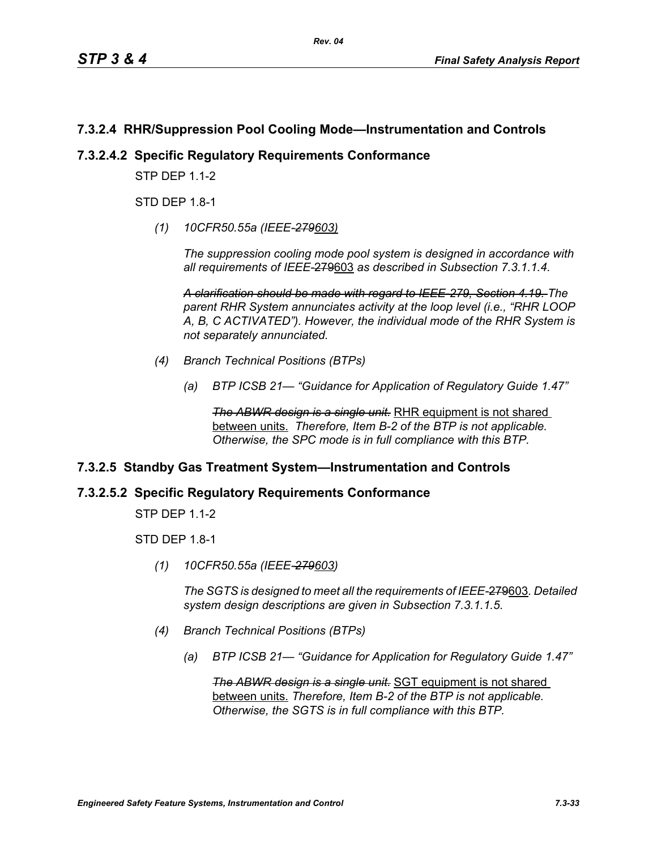# **7.3.2.4 RHR/Suppression Pool Cooling Mode—Instrumentation and Controls**

#### **7.3.2.4.2 Specific Regulatory Requirements Conformance**

**STP DFP 1 1-2** 

STD DEP 1.8-1

*(1) 10CFR50.55a (IEEE-279603)*

*The suppression cooling mode pool system is designed in accordance with all requirements of IEEE-*279603 *as described in Subsection 7.3.1.1.4.*

*A clarification should be made with regard to IEEE-279, Section 4.19. The parent RHR System annunciates activity at the loop level (i.e., "RHR LOOP A, B, C ACTIVATED"). However, the individual mode of the RHR System is not separately annunciated.*

- *(4) Branch Technical Positions (BTPs)*
	- *(a) BTP ICSB 21— "Guidance for Application of Regulatory Guide 1.47"*

**The ABWR design is a single unit.** RHR equipment is not shared between units. *Therefore, Item B-2 of the BTP is not applicable. Otherwise, the SPC mode is in full compliance with this BTP.*

# **7.3.2.5 Standby Gas Treatment System—Instrumentation and Controls**

#### **7.3.2.5.2 Specific Regulatory Requirements Conformance**

STP DEP 1.1-2

STD DEP 1.8-1

*(1) 10CFR50.55a (IEEE-279603)*

*The SGTS is designed to meet all the requirements of IEEE-*279603*. Detailed system design descriptions are given in Subsection 7.3.1.1.5.*

- *(4) Branch Technical Positions (BTPs)*
	- *(a) BTP ICSB 21— "Guidance for Application for Regulatory Guide 1.47"*

*The ABWR design is a single unit.* SGT equipment is not shared between units. *Therefore, Item B-2 of the BTP is not applicable. Otherwise, the SGTS is in full compliance with this BTP.*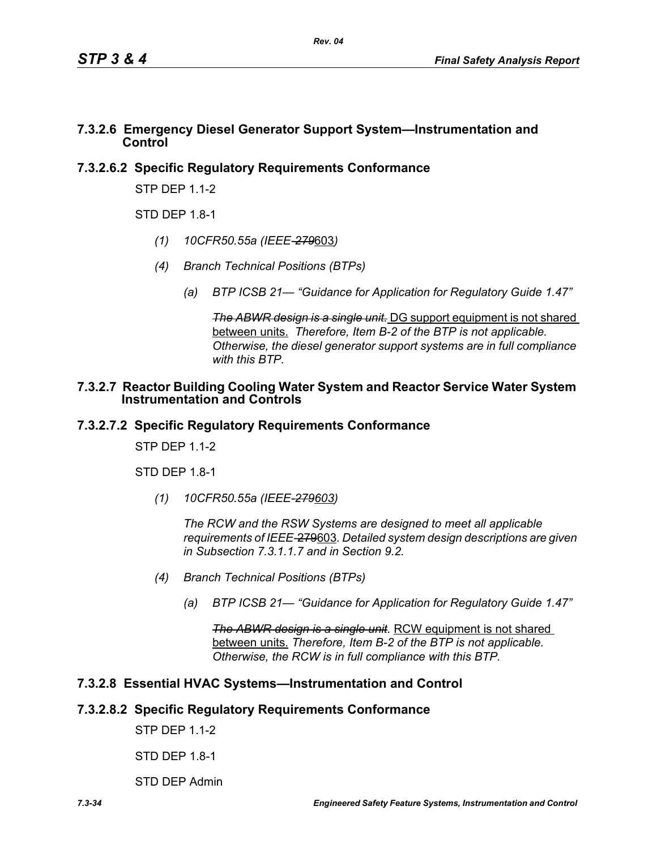#### **7.3.2.6 Emergency Diesel Generator Support System—Instrumentation and Control**

# **7.3.2.6.2 Specific Regulatory Requirements Conformance**

STP DEP 1.1-2

 $STD$  DFP 1.8-1

- *(1) 10CFR50.55a (IEEE-279*603*)*
- *(4) Branch Technical Positions (BTPs)*
	- *(a) BTP ICSB 21— "Guidance for Application for Regulatory Guide 1.47"*

*The ABWR design is a single unit.* DG support equipment is not shared between units. *Therefore, Item B-2 of the BTP is not applicable. Otherwise, the diesel generator support systems are in full compliance with this BTP.*

#### **7.3.2.7 Reactor Building Cooling Water System and Reactor Service Water System Instrumentation and Controls**

# **7.3.2.7.2 Specific Regulatory Requirements Conformance**

STP DFP 11-2

STD DEP 1.8-1

*(1) 10CFR50.55a (IEEE-279603)*

*The RCW and the RSW Systems are designed to meet all applicable requirements of IEEE-*279603*. Detailed system design descriptions are given in Subsection 7.3.1.1.7 and in Section 9.2.*

- *(4) Branch Technical Positions (BTPs)*
	- *(a) BTP ICSB 21— "Guidance for Application for Regulatory Guide 1.47"*

*The ABWR design is a single unit.* RCW equipment is not shared between units. *Therefore, Item B-2 of the BTP is not applicable. Otherwise, the RCW is in full compliance with this BTP.*

# **7.3.2.8 Essential HVAC Systems—Instrumentation and Control**

# **7.3.2.8.2 Specific Regulatory Requirements Conformance**

STP DEP 1.1-2

STD DEP 1.8-1

STD DEP Admin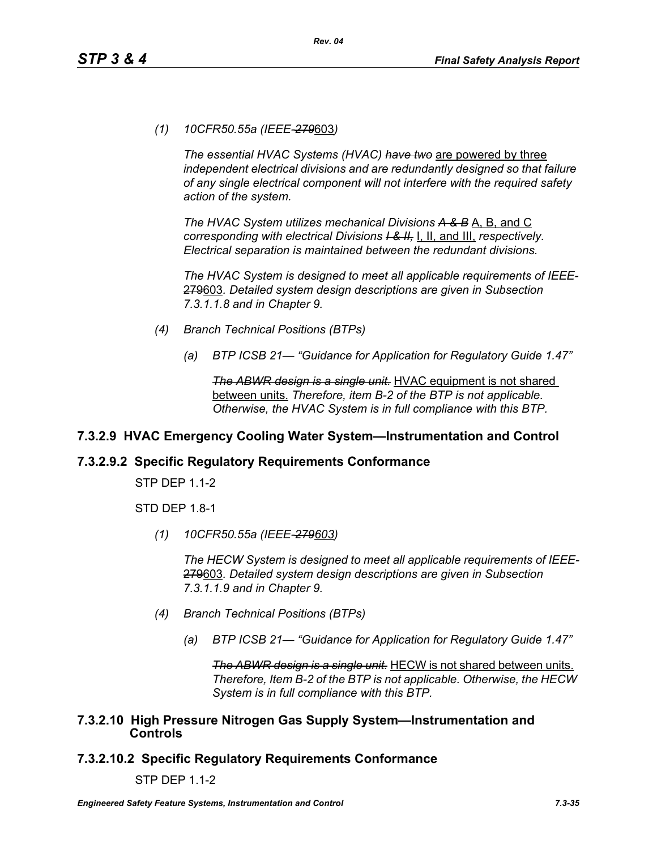*(1) 10CFR50.55a (IEEE-279*603*)*

*The essential HVAC Systems (HVAC) have two* are powered by three *independent electrical divisions and are redundantly designed so that failure of any single electrical component will not interfere with the required safety action of the system.*

*The HVAC System utilizes mechanical Divisions A & B* A, B, and C *corresponding with electrical Divisions I & II,* I, II, and III, *respectively. Electrical separation is maintained between the redundant divisions.*

*The HVAC System is designed to meet all applicable requirements of IEEE-*279603*. Detailed system design descriptions are given in Subsection 7.3.1.1.8 and in Chapter 9.*

- *(4) Branch Technical Positions (BTPs)*
	- *(a) BTP ICSB 21— "Guidance for Application for Regulatory Guide 1.47"*

*The ABWR design is a single unit.* HVAC equipment is not shared between units. *Therefore, item B-2 of the BTP is not applicable. Otherwise, the HVAC System is in full compliance with this BTP.*

# **7.3.2.9 HVAC Emergency Cooling Water System—Instrumentation and Control**

#### **7.3.2.9.2 Specific Regulatory Requirements Conformance**

STP DEP 1.1-2

STD DEP 1.8-1

*(1) 10CFR50.55a (IEEE-279603)*

*The HECW System is designed to meet all applicable requirements of IEEE-*279603*. Detailed system design descriptions are given in Subsection 7.3.1.1.9 and in Chapter 9.*

- *(4) Branch Technical Positions (BTPs)*
	- *(a) BTP ICSB 21— "Guidance for Application for Regulatory Guide 1.47"*

*The ABWR design is a single unit.* HECW is not shared between units. *Therefore, Item B-2 of the BTP is not applicable. Otherwise, the HECW System is in full compliance with this BTP.*

#### **7.3.2.10 High Pressure Nitrogen Gas Supply System—Instrumentation and Controls**

# **7.3.2.10.2 Specific Regulatory Requirements Conformance**

STP DEP 1.1-2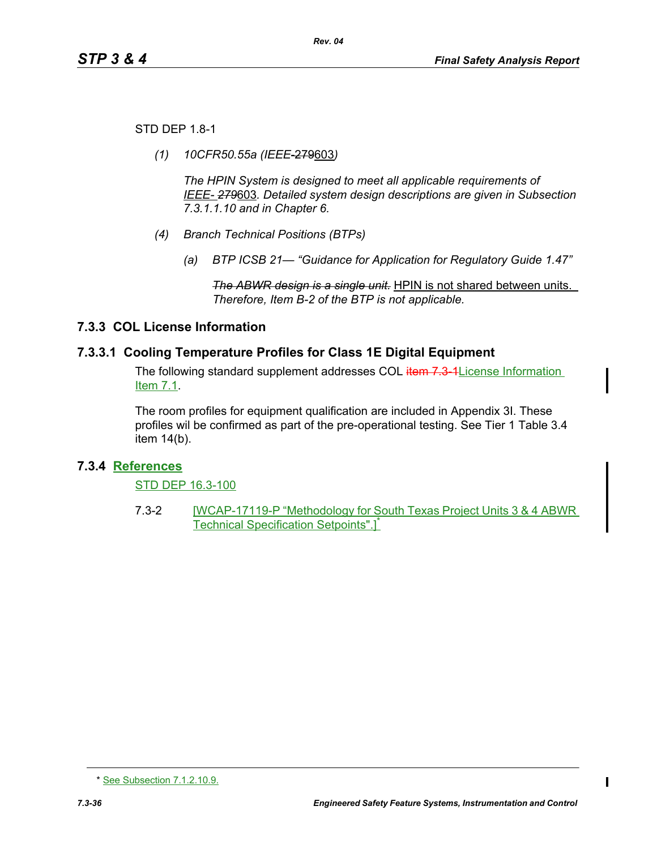STD DEP 1.8-1

*(1) 10CFR50.55a (IEEE*-279603*)*

*The HPIN System is designed to meet all applicable requirements of IEEE- 279*603*. Detailed system design descriptions are given in Subsection 7.3.1.1.10 and in Chapter 6.*

- *(4) Branch Technical Positions (BTPs)*
	- *(a) BTP ICSB 21— "Guidance for Application for Regulatory Guide 1.47"*

*The ABWR design is a single unit.* HPIN is not shared between units. *Therefore, Item B-2 of the BTP is not applicable.* 

# **7.3.3 COL License Information**

# **7.3.3.1 Cooling Temperature Profiles for Class 1E Digital Equipment**

The following standard supplement addresses COL item 7.3-1 License Information Item 7.1.

The room profiles for equipment qualification are included in Appendix 3I. These profiles wil be confirmed as part of the pre-operational testing. See Tier 1 Table 3.4 item 14(b).

# **7.3.4 References**

STD DEP 16.3-100

7.3-2 **IWCAP-17119-P** "Methodology for South Texas Project Units 3 & 4 ABWR Technical Specification Setpoints".<sup>1</sup>

<sup>\*</sup> See Subsection 7.1.2.10.9.